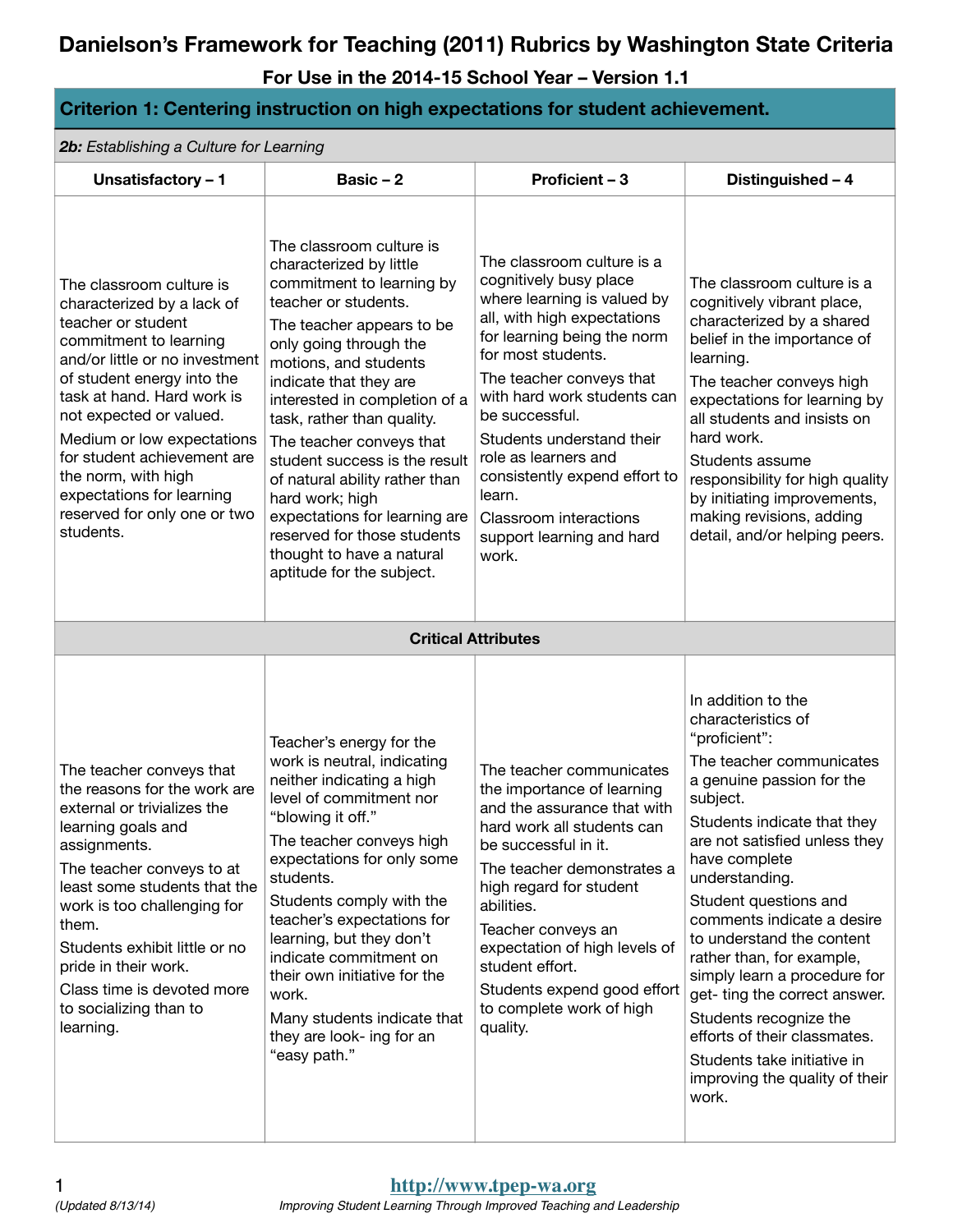**For Use in the 2014-15 School Year – Version 1.1**

#### **Criterion 1: Centering instruction on high expectations for student achievement.**

*2b: Establishing a Culture for Learning*

| Unsatisfactory - 1                                                                                                                                                                                                                                                                                                                                                                            | Basic $-2$                                                                                                                                                                                                                                                                                                                                                                                                                                                                                                                    | Proficient - 3                                                                                                                                                                                                                                                                                                                                                                                                       | Distinguished - 4                                                                                                                                                                                                                                                                                                                                                                                                                                                                                                                                       |
|-----------------------------------------------------------------------------------------------------------------------------------------------------------------------------------------------------------------------------------------------------------------------------------------------------------------------------------------------------------------------------------------------|-------------------------------------------------------------------------------------------------------------------------------------------------------------------------------------------------------------------------------------------------------------------------------------------------------------------------------------------------------------------------------------------------------------------------------------------------------------------------------------------------------------------------------|----------------------------------------------------------------------------------------------------------------------------------------------------------------------------------------------------------------------------------------------------------------------------------------------------------------------------------------------------------------------------------------------------------------------|---------------------------------------------------------------------------------------------------------------------------------------------------------------------------------------------------------------------------------------------------------------------------------------------------------------------------------------------------------------------------------------------------------------------------------------------------------------------------------------------------------------------------------------------------------|
| The classroom culture is<br>characterized by a lack of<br>teacher or student<br>commitment to learning<br>and/or little or no investment<br>of student energy into the<br>task at hand. Hard work is<br>not expected or valued.<br>Medium or low expectations<br>for student achievement are<br>the norm, with high<br>expectations for learning<br>reserved for only one or two<br>students. | The classroom culture is<br>characterized by little<br>commitment to learning by<br>teacher or students.<br>The teacher appears to be<br>only going through the<br>motions, and students<br>indicate that they are<br>interested in completion of a<br>task, rather than quality.<br>The teacher conveys that<br>student success is the result<br>of natural ability rather than<br>hard work; high<br>expectations for learning are<br>reserved for those students<br>thought to have a natural<br>aptitude for the subject. | The classroom culture is a<br>cognitively busy place<br>where learning is valued by<br>all, with high expectations<br>for learning being the norm<br>for most students.<br>The teacher conveys that<br>with hard work students can<br>be successful.<br>Students understand their<br>role as learners and<br>consistently expend effort to<br>learn.<br>Classroom interactions<br>support learning and hard<br>work. | The classroom culture is a<br>cognitively vibrant place,<br>characterized by a shared<br>belief in the importance of<br>learning.<br>The teacher conveys high<br>expectations for learning by<br>all students and insists on<br>hard work.<br>Students assume<br>responsibility for high quality<br>by initiating improvements,<br>making revisions, adding<br>detail, and/or helping peers.                                                                                                                                                            |
|                                                                                                                                                                                                                                                                                                                                                                                               |                                                                                                                                                                                                                                                                                                                                                                                                                                                                                                                               | <b>Critical Attributes</b>                                                                                                                                                                                                                                                                                                                                                                                           |                                                                                                                                                                                                                                                                                                                                                                                                                                                                                                                                                         |
| The teacher conveys that<br>the reasons for the work are<br>external or trivializes the<br>learning goals and<br>assignments.<br>The teacher conveys to at<br>least some students that the<br>work is too challenging for<br>them.<br>Students exhibit little or no<br>pride in their work.<br>Class time is devoted more<br>to socializing than to<br>learning.                              | Teacher's energy for the<br>work is neutral, indicating<br>neither indicating a high<br>level of commitment nor<br>"blowing it off."<br>The teacher conveys high<br>expectations for only some<br>students.<br>Students comply with the<br>teacher's expectations for<br>learning, but they don't<br>indicate commitment on<br>their own initiative for the<br>work.<br>Many students indicate that<br>they are look- ing for an<br>"easy path."                                                                              | The teacher communicates<br>the importance of learning<br>and the assurance that with<br>hard work all students can<br>be successful in it.<br>The teacher demonstrates a<br>high regard for student<br>abilities.<br>Teacher conveys an<br>expectation of high levels of<br>student effort.<br>Students expend good effort<br>to complete work of high<br>quality.                                                  | In addition to the<br>characteristics of<br>"proficient":<br>The teacher communicates<br>a genuine passion for the<br>subject.<br>Students indicate that they<br>are not satisfied unless they<br>have complete<br>understanding.<br>Student questions and<br>comments indicate a desire<br>to understand the content<br>rather than, for example,<br>simply learn a procedure for<br>get- ting the correct answer.<br>Students recognize the<br>efforts of their classmates.<br>Students take initiative in<br>improving the quality of their<br>work. |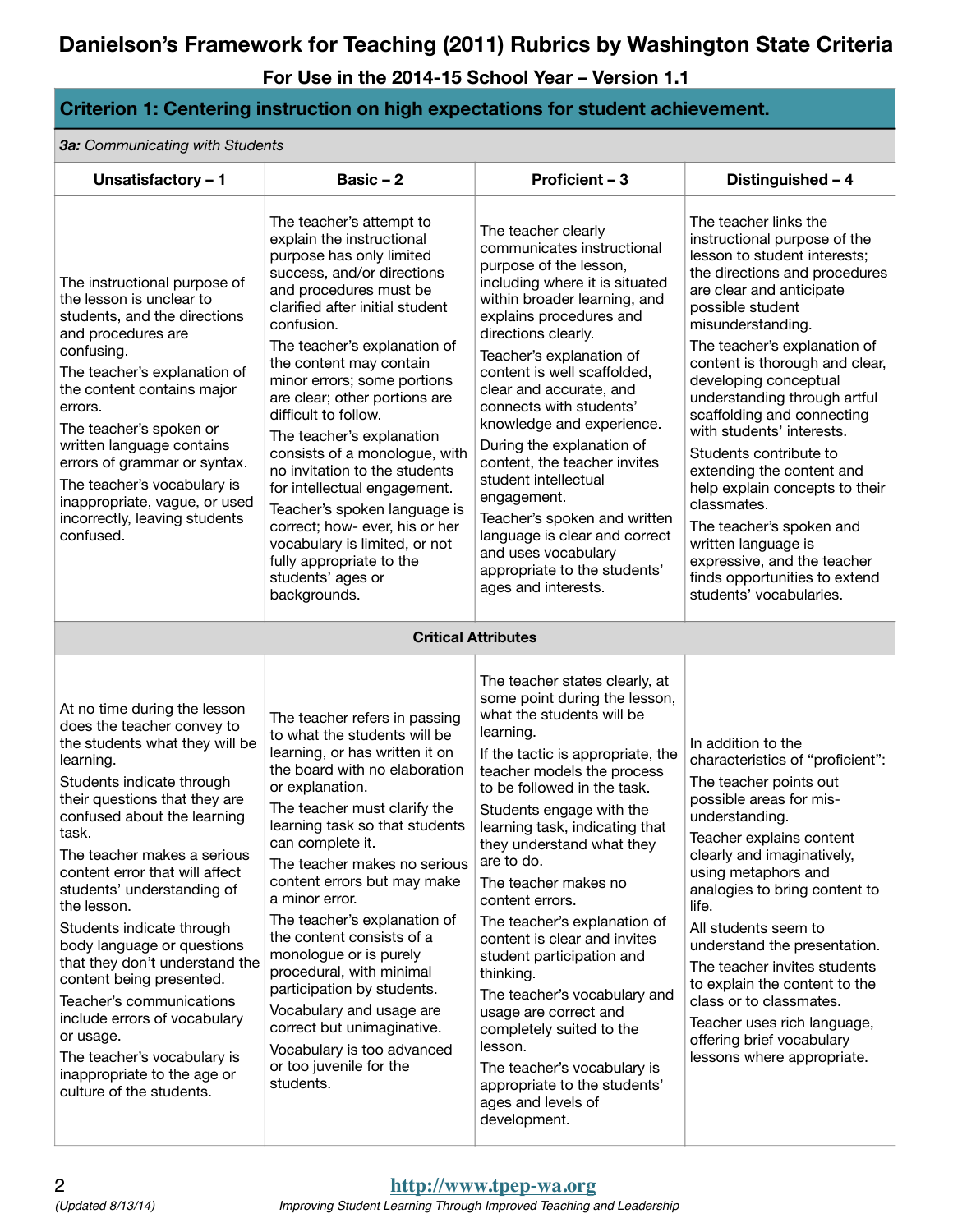**For Use in the 2014-15 School Year – Version 1.1**

#### **Criterion 1: Centering instruction on high expectations for student achievement.**

*3a: Communicating with Students*

| Unsatisfactory - 1                                                                                                                                                                                                                                                                                                                                                                                                                                                                                                                                                                                                        | Basic $-2$                                                                                                                                                                                                                                                                                                                                                                                                                                                                                                                                                                                                                                       | Proficient - 3                                                                                                                                                                                                                                                                                                                                                                                                                                                                                                                                                                                                                                                                 | Distinguished - 4                                                                                                                                                                                                                                                                                                                                                                                                                                                                                                                                                                                                                       |
|---------------------------------------------------------------------------------------------------------------------------------------------------------------------------------------------------------------------------------------------------------------------------------------------------------------------------------------------------------------------------------------------------------------------------------------------------------------------------------------------------------------------------------------------------------------------------------------------------------------------------|--------------------------------------------------------------------------------------------------------------------------------------------------------------------------------------------------------------------------------------------------------------------------------------------------------------------------------------------------------------------------------------------------------------------------------------------------------------------------------------------------------------------------------------------------------------------------------------------------------------------------------------------------|--------------------------------------------------------------------------------------------------------------------------------------------------------------------------------------------------------------------------------------------------------------------------------------------------------------------------------------------------------------------------------------------------------------------------------------------------------------------------------------------------------------------------------------------------------------------------------------------------------------------------------------------------------------------------------|-----------------------------------------------------------------------------------------------------------------------------------------------------------------------------------------------------------------------------------------------------------------------------------------------------------------------------------------------------------------------------------------------------------------------------------------------------------------------------------------------------------------------------------------------------------------------------------------------------------------------------------------|
| The instructional purpose of<br>the lesson is unclear to<br>students, and the directions<br>and procedures are<br>confusing.<br>The teacher's explanation of<br>the content contains major<br>errors.<br>The teacher's spoken or<br>written language contains<br>errors of grammar or syntax.<br>The teacher's vocabulary is<br>inappropriate, vague, or used<br>incorrectly, leaving students<br>confused.                                                                                                                                                                                                               | The teacher's attempt to<br>explain the instructional<br>purpose has only limited<br>success, and/or directions<br>and procedures must be<br>clarified after initial student<br>confusion.<br>The teacher's explanation of<br>the content may contain<br>minor errors; some portions<br>are clear; other portions are<br>difficult to follow.<br>The teacher's explanation<br>consists of a monologue, with<br>no invitation to the students<br>for intellectual engagement.<br>Teacher's spoken language is<br>correct; how- ever, his or her<br>vocabulary is limited, or not<br>fully appropriate to the<br>students' ages or<br>backgrounds. | The teacher clearly<br>communicates instructional<br>purpose of the lesson,<br>including where it is situated<br>within broader learning, and<br>explains procedures and<br>directions clearly.<br>Teacher's explanation of<br>content is well scaffolded,<br>clear and accurate, and<br>connects with students'<br>knowledge and experience.<br>During the explanation of<br>content, the teacher invites<br>student intellectual<br>engagement.<br>Teacher's spoken and written<br>language is clear and correct<br>and uses vocabulary<br>appropriate to the students'<br>ages and interests.                                                                               | The teacher links the<br>instructional purpose of the<br>lesson to student interests;<br>the directions and procedures<br>are clear and anticipate<br>possible student<br>misunderstanding.<br>The teacher's explanation of<br>content is thorough and clear,<br>developing conceptual<br>understanding through artful<br>scaffolding and connecting<br>with students' interests.<br>Students contribute to<br>extending the content and<br>help explain concepts to their<br>classmates.<br>The teacher's spoken and<br>written language is<br>expressive, and the teacher<br>finds opportunities to extend<br>students' vocabularies. |
|                                                                                                                                                                                                                                                                                                                                                                                                                                                                                                                                                                                                                           |                                                                                                                                                                                                                                                                                                                                                                                                                                                                                                                                                                                                                                                  | <b>Critical Attributes</b>                                                                                                                                                                                                                                                                                                                                                                                                                                                                                                                                                                                                                                                     |                                                                                                                                                                                                                                                                                                                                                                                                                                                                                                                                                                                                                                         |
| At no time during the lesson<br>does the teacher convey to<br>the students what they will be<br>learning.<br>Students indicate through<br>their questions that they are<br>confused about the learning<br>task.<br>The teacher makes a serious<br>content error that will affect<br>students' understanding of<br>the lesson.<br>Students indicate through<br>body language or questions<br>that they don't understand the<br>content being presented.<br>Teacher's communications<br>include errors of vocabulary<br>or usage.<br>The teacher's vocabulary is<br>inappropriate to the age or<br>culture of the students. | The teacher refers in passing<br>to what the students will be<br>learning, or has written it on<br>the board with no elaboration<br>or explanation.<br>The teacher must clarify the<br>learning task so that students<br>can complete it.<br>The teacher makes no serious<br>content errors but may make<br>a minor error.<br>The teacher's explanation of<br>the content consists of a<br>monologue or is purely<br>procedural, with minimal<br>participation by students.<br>Vocabulary and usage are<br>correct but unimaginative.<br>Vocabulary is too advanced<br>or too juvenile for the<br>students.                                      | The teacher states clearly, at<br>some point during the lesson,<br>what the students will be<br>learning.<br>If the tactic is appropriate, the<br>teacher models the process<br>to be followed in the task.<br>Students engage with the<br>learning task, indicating that<br>they understand what they<br>are to do.<br>The teacher makes no<br>content errors.<br>The teacher's explanation of<br>content is clear and invites<br>student participation and<br>thinking.<br>The teacher's vocabulary and<br>usage are correct and<br>completely suited to the<br>lesson.<br>The teacher's vocabulary is<br>appropriate to the students'<br>ages and levels of<br>development. | In addition to the<br>characteristics of "proficient":<br>The teacher points out<br>possible areas for mis-<br>understanding.<br>Teacher explains content<br>clearly and imaginatively,<br>using metaphors and<br>analogies to bring content to<br>life.<br>All students seem to<br>understand the presentation.<br>The teacher invites students<br>to explain the content to the<br>class or to classmates.<br>Teacher uses rich language,<br>offering brief vocabulary<br>lessons where appropriate.                                                                                                                                  |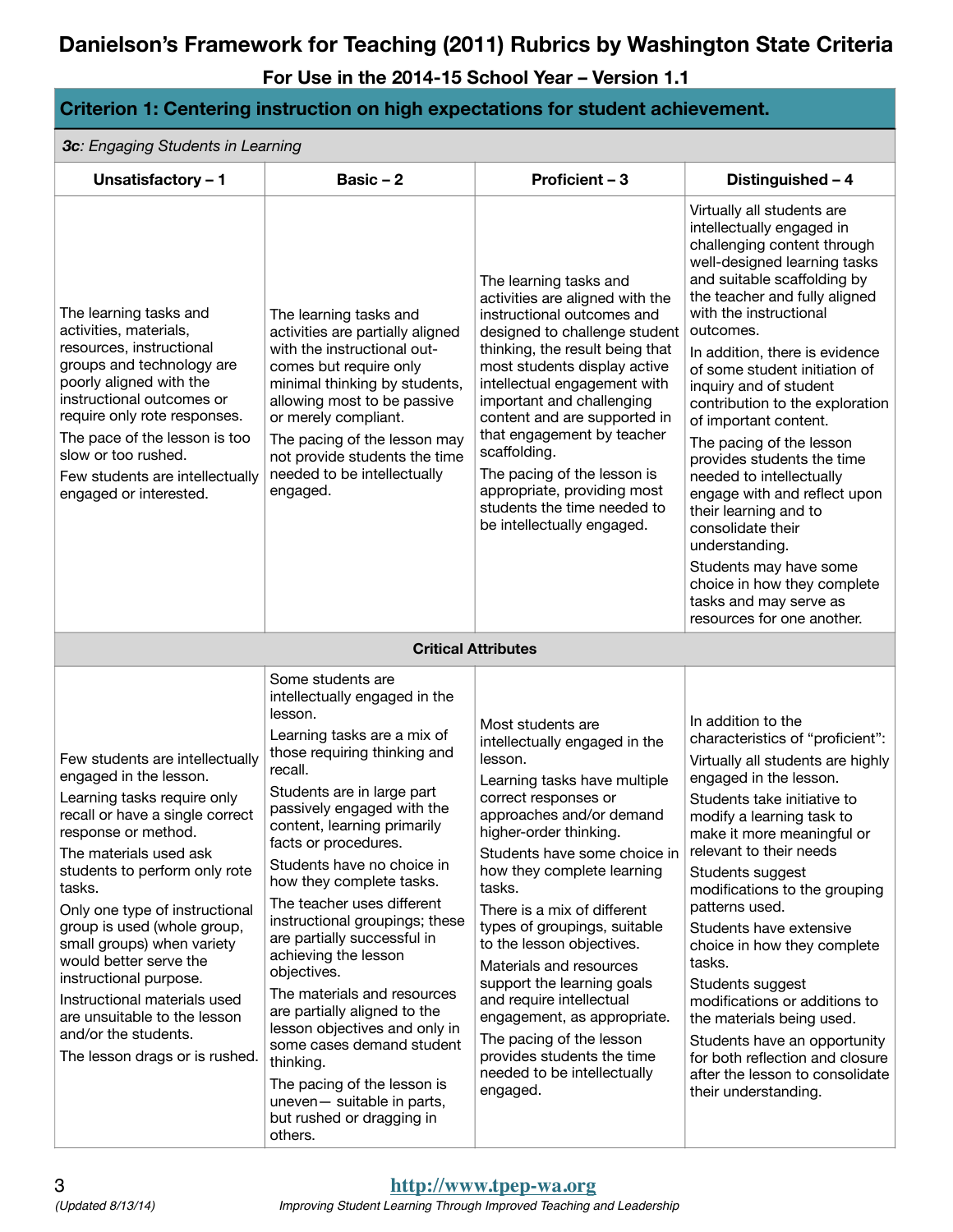| Criterion 1: Centering instruction on high expectations for student achievement.                                                                                                                                                                                                                                                                                                                                                                                                                     |                                                                                                                                                                                                                                                                                                                                                                                                                                                                                                                                                                                                                                                                                                |                                                                                                                                                                                                                                                                                                                                                                                                                                                                                                                                                                          |                                                                                                                                                                                                                                                                                                                                                                                                                                                                                                                                                                                                                                                                                               |  |
|------------------------------------------------------------------------------------------------------------------------------------------------------------------------------------------------------------------------------------------------------------------------------------------------------------------------------------------------------------------------------------------------------------------------------------------------------------------------------------------------------|------------------------------------------------------------------------------------------------------------------------------------------------------------------------------------------------------------------------------------------------------------------------------------------------------------------------------------------------------------------------------------------------------------------------------------------------------------------------------------------------------------------------------------------------------------------------------------------------------------------------------------------------------------------------------------------------|--------------------------------------------------------------------------------------------------------------------------------------------------------------------------------------------------------------------------------------------------------------------------------------------------------------------------------------------------------------------------------------------------------------------------------------------------------------------------------------------------------------------------------------------------------------------------|-----------------------------------------------------------------------------------------------------------------------------------------------------------------------------------------------------------------------------------------------------------------------------------------------------------------------------------------------------------------------------------------------------------------------------------------------------------------------------------------------------------------------------------------------------------------------------------------------------------------------------------------------------------------------------------------------|--|
| 3c: Engaging Students in Learning                                                                                                                                                                                                                                                                                                                                                                                                                                                                    |                                                                                                                                                                                                                                                                                                                                                                                                                                                                                                                                                                                                                                                                                                |                                                                                                                                                                                                                                                                                                                                                                                                                                                                                                                                                                          |                                                                                                                                                                                                                                                                                                                                                                                                                                                                                                                                                                                                                                                                                               |  |
| Unsatisfactory - 1                                                                                                                                                                                                                                                                                                                                                                                                                                                                                   | Basic $-2$                                                                                                                                                                                                                                                                                                                                                                                                                                                                                                                                                                                                                                                                                     | Proficient - 3                                                                                                                                                                                                                                                                                                                                                                                                                                                                                                                                                           | Distinguished - 4                                                                                                                                                                                                                                                                                                                                                                                                                                                                                                                                                                                                                                                                             |  |
| The learning tasks and<br>activities, materials,<br>resources, instructional<br>groups and technology are<br>poorly aligned with the<br>instructional outcomes or<br>require only rote responses.<br>The pace of the lesson is too<br>slow or too rushed.<br>Few students are intellectually<br>engaged or interested.                                                                                                                                                                               | The learning tasks and<br>activities are partially aligned<br>with the instructional out-<br>comes but require only<br>minimal thinking by students,<br>allowing most to be passive<br>or merely compliant.<br>The pacing of the lesson may<br>not provide students the time<br>needed to be intellectually<br>engaged.                                                                                                                                                                                                                                                                                                                                                                        | The learning tasks and<br>activities are aligned with the<br>instructional outcomes and<br>designed to challenge student<br>thinking, the result being that<br>most students display active<br>intellectual engagement with<br>important and challenging<br>content and are supported in<br>that engagement by teacher<br>scaffolding.<br>The pacing of the lesson is<br>appropriate, providing most<br>students the time needed to<br>be intellectually engaged.                                                                                                        | Virtually all students are<br>intellectually engaged in<br>challenging content through<br>well-designed learning tasks<br>and suitable scaffolding by<br>the teacher and fully aligned<br>with the instructional<br>outcomes.<br>In addition, there is evidence<br>of some student initiation of<br>inquiry and of student<br>contribution to the exploration<br>of important content.<br>The pacing of the lesson<br>provides students the time<br>needed to intellectually<br>engage with and reflect upon<br>their learning and to<br>consolidate their<br>understanding.<br>Students may have some<br>choice in how they complete<br>tasks and may serve as<br>resources for one another. |  |
|                                                                                                                                                                                                                                                                                                                                                                                                                                                                                                      |                                                                                                                                                                                                                                                                                                                                                                                                                                                                                                                                                                                                                                                                                                | <b>Critical Attributes</b>                                                                                                                                                                                                                                                                                                                                                                                                                                                                                                                                               |                                                                                                                                                                                                                                                                                                                                                                                                                                                                                                                                                                                                                                                                                               |  |
| Few students are intellectually<br>engaged in the lesson.<br>Learning tasks require only<br>recall or have a single correct<br>response or method.<br>The materials used ask<br>students to perform only rote<br>tasks.<br>Only one type of instructional<br>group is used (whole group,<br>small groups) when variety<br>would better serve the<br>instructional purpose.<br>Instructional materials used<br>are unsuitable to the lesson<br>and/or the students.<br>The lesson drags or is rushed. | Some students are<br>intellectually engaged in the<br>lesson.<br>Learning tasks are a mix of<br>those requiring thinking and<br>recall.<br>Students are in large part<br>passively engaged with the<br>content, learning primarily<br>facts or procedures.<br>Students have no choice in<br>how they complete tasks.<br>The teacher uses different<br>instructional groupings; these<br>are partially successful in<br>achieving the lesson<br>objectives.<br>The materials and resources<br>are partially aligned to the<br>lesson objectives and only in<br>some cases demand student<br>thinking.<br>The pacing of the lesson is<br>uneven- suitable in parts,<br>but rushed or dragging in | Most students are<br>intellectually engaged in the<br>lesson.<br>Learning tasks have multiple<br>correct responses or<br>approaches and/or demand<br>higher-order thinking.<br>Students have some choice in<br>how they complete learning<br>tasks.<br>There is a mix of different<br>types of groupings, suitable<br>to the lesson objectives.<br>Materials and resources<br>support the learning goals<br>and require intellectual<br>engagement, as appropriate.<br>The pacing of the lesson<br>provides students the time<br>needed to be intellectually<br>engaged. | In addition to the<br>characteristics of "proficient":<br>Virtually all students are highly<br>engaged in the lesson.<br>Students take initiative to<br>modify a learning task to<br>make it more meaningful or<br>relevant to their needs<br>Students suggest<br>modifications to the grouping<br>patterns used.<br>Students have extensive<br>choice in how they complete<br>tasks.<br>Students suggest<br>modifications or additions to<br>the materials being used.<br>Students have an opportunity<br>for both reflection and closure<br>after the lesson to consolidate<br>their understanding.                                                                                         |  |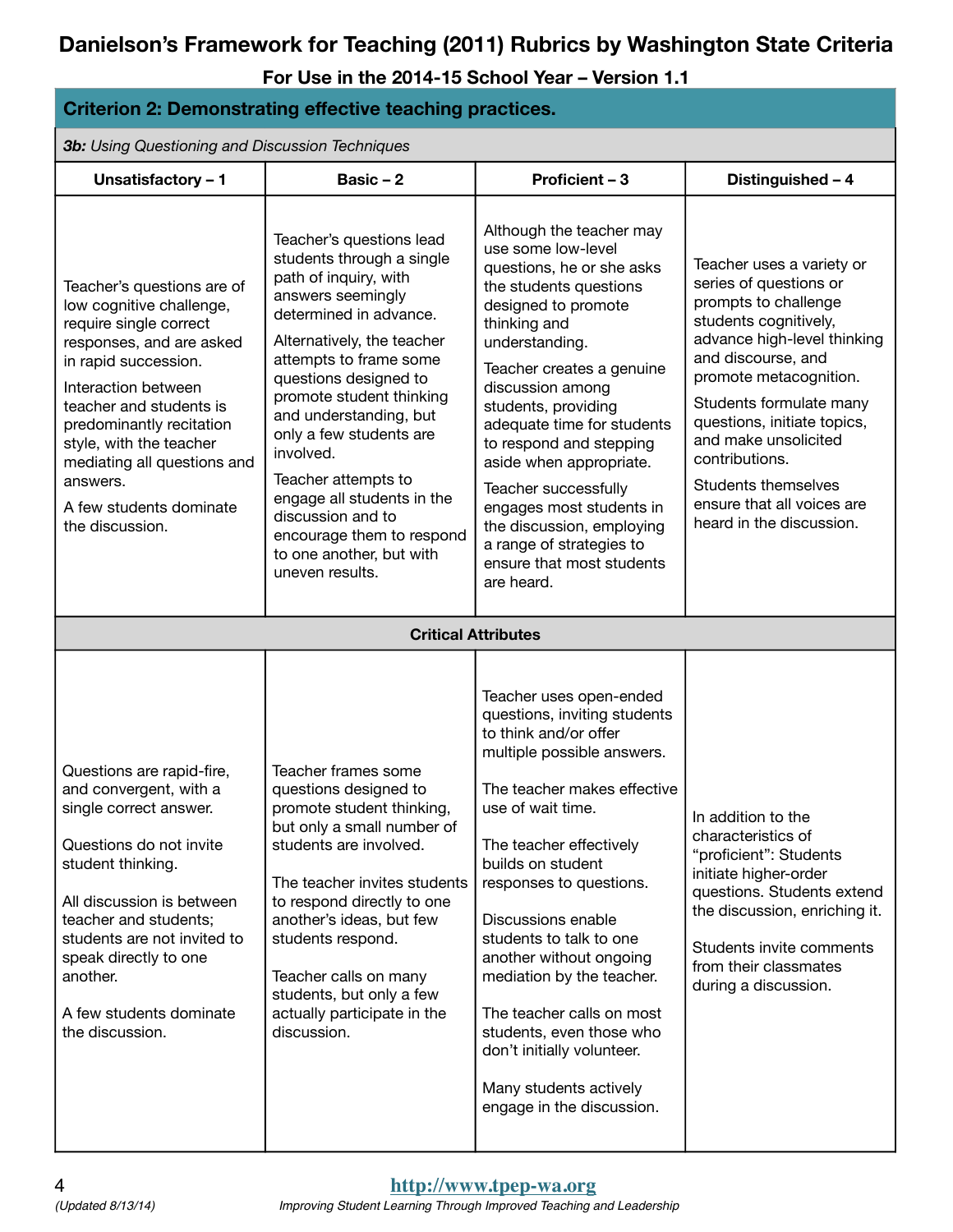| <b>Criterion 2: Demonstrating effective teaching practices.</b>                                                                                                                                                                                                                                                                        |                                                                                                                                                                                                                                                                                                                                                                                                                                                                    |                                                                                                                                                                                                                                                                                                                                                                                                                                                                                                      |                                                                                                                                                                                                                                                                                                                                                                                 |
|----------------------------------------------------------------------------------------------------------------------------------------------------------------------------------------------------------------------------------------------------------------------------------------------------------------------------------------|--------------------------------------------------------------------------------------------------------------------------------------------------------------------------------------------------------------------------------------------------------------------------------------------------------------------------------------------------------------------------------------------------------------------------------------------------------------------|------------------------------------------------------------------------------------------------------------------------------------------------------------------------------------------------------------------------------------------------------------------------------------------------------------------------------------------------------------------------------------------------------------------------------------------------------------------------------------------------------|---------------------------------------------------------------------------------------------------------------------------------------------------------------------------------------------------------------------------------------------------------------------------------------------------------------------------------------------------------------------------------|
| <b>3b:</b> Using Questioning and Discussion Techniques                                                                                                                                                                                                                                                                                 |                                                                                                                                                                                                                                                                                                                                                                                                                                                                    |                                                                                                                                                                                                                                                                                                                                                                                                                                                                                                      |                                                                                                                                                                                                                                                                                                                                                                                 |
| Unsatisfactory - 1                                                                                                                                                                                                                                                                                                                     | Basic $-2$                                                                                                                                                                                                                                                                                                                                                                                                                                                         | Proficient - 3                                                                                                                                                                                                                                                                                                                                                                                                                                                                                       | Distinguished - 4                                                                                                                                                                                                                                                                                                                                                               |
| Teacher's questions are of<br>low cognitive challenge,<br>require single correct<br>responses, and are asked<br>in rapid succession.<br>Interaction between<br>teacher and students is<br>predominantly recitation<br>style, with the teacher<br>mediating all questions and<br>answers.<br>A few students dominate<br>the discussion. | Teacher's questions lead<br>students through a single<br>path of inquiry, with<br>answers seemingly<br>determined in advance.<br>Alternatively, the teacher<br>attempts to frame some<br>questions designed to<br>promote student thinking<br>and understanding, but<br>only a few students are<br>involved.<br>Teacher attempts to<br>engage all students in the<br>discussion and to<br>encourage them to respond<br>to one another, but with<br>uneven results. | Although the teacher may<br>use some low-level<br>questions, he or she asks<br>the students questions<br>designed to promote<br>thinking and<br>understanding.<br>Teacher creates a genuine<br>discussion among<br>students, providing<br>adequate time for students<br>to respond and stepping<br>aside when appropriate.<br><b>Teacher successfully</b><br>engages most students in<br>the discussion, employing<br>a range of strategies to<br>ensure that most students<br>are heard.            | Teacher uses a variety or<br>series of questions or<br>prompts to challenge<br>students cognitively,<br>advance high-level thinking<br>and discourse, and<br>promote metacognition.<br>Students formulate many<br>questions, initiate topics,<br>and make unsolicited<br>contributions.<br><b>Students themselves</b><br>ensure that all voices are<br>heard in the discussion. |
|                                                                                                                                                                                                                                                                                                                                        |                                                                                                                                                                                                                                                                                                                                                                                                                                                                    | <b>Critical Attributes</b>                                                                                                                                                                                                                                                                                                                                                                                                                                                                           |                                                                                                                                                                                                                                                                                                                                                                                 |
| Questions are rapid-fire,<br>and convergent, with a<br>single correct answer.<br>Questions do not invite<br>student thinking.<br>All discussion is between<br>teacher and students;<br>students are not invited to<br>speak directly to one<br>another.<br>A few students dominate<br>the discussion.                                  | Teacher frames some<br>questions designed to<br>promote student thinking,<br>but only a small number of<br>students are involved.<br>The teacher invites students<br>to respond directly to one<br>another's ideas, but few<br>students respond.<br>Teacher calls on many<br>students, but only a few<br>actually participate in the<br>discussion.                                                                                                                | Teacher uses open-ended<br>questions, inviting students<br>to think and/or offer<br>multiple possible answers.<br>The teacher makes effective<br>use of wait time.<br>The teacher effectively<br>builds on student<br>responses to questions.<br>Discussions enable<br>students to talk to one<br>another without ongoing<br>mediation by the teacher.<br>The teacher calls on most<br>students, even those who<br>don't initially volunteer.<br>Many students actively<br>engage in the discussion. | In addition to the<br>characteristics of<br>"proficient": Students<br>initiate higher-order<br>questions. Students extend<br>the discussion, enriching it.<br>Students invite comments<br>from their classmates<br>during a discussion.                                                                                                                                         |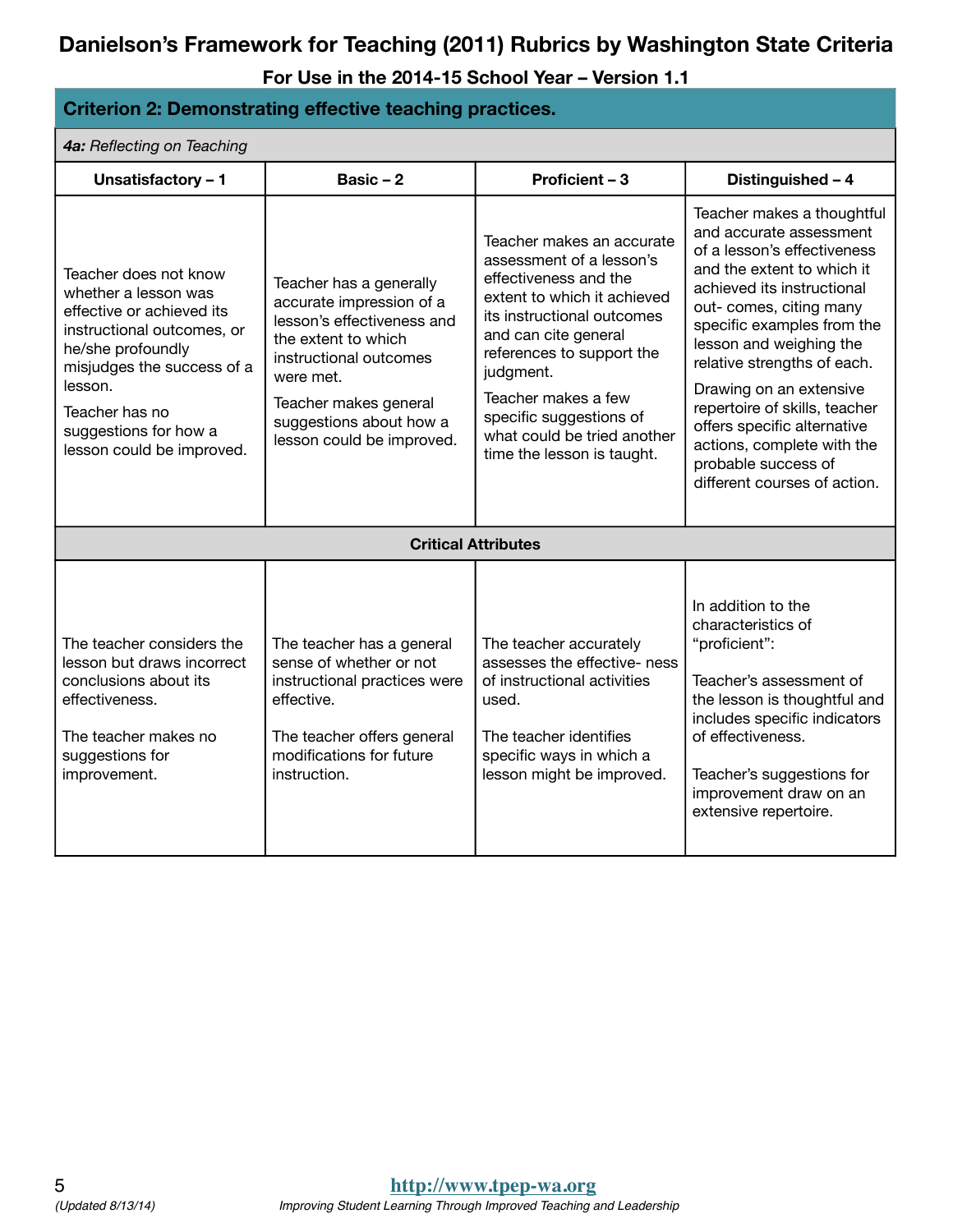| <b>Criterion 2: Demonstrating effective teaching practices.</b>                                                                                                                                                                                |                                                                                                                                                                                                                                  |                                                                                                                                                                                                                                                                                                                              |                                                                                                                                                                                                                                                                                                                                                                                                                                                     |
|------------------------------------------------------------------------------------------------------------------------------------------------------------------------------------------------------------------------------------------------|----------------------------------------------------------------------------------------------------------------------------------------------------------------------------------------------------------------------------------|------------------------------------------------------------------------------------------------------------------------------------------------------------------------------------------------------------------------------------------------------------------------------------------------------------------------------|-----------------------------------------------------------------------------------------------------------------------------------------------------------------------------------------------------------------------------------------------------------------------------------------------------------------------------------------------------------------------------------------------------------------------------------------------------|
| 4a: Reflecting on Teaching                                                                                                                                                                                                                     |                                                                                                                                                                                                                                  |                                                                                                                                                                                                                                                                                                                              |                                                                                                                                                                                                                                                                                                                                                                                                                                                     |
| Unsatisfactory - 1                                                                                                                                                                                                                             | Basic $-2$                                                                                                                                                                                                                       | Proficient - 3                                                                                                                                                                                                                                                                                                               | Distinguished - 4                                                                                                                                                                                                                                                                                                                                                                                                                                   |
| Teacher does not know<br>whether a lesson was<br>effective or achieved its<br>instructional outcomes, or<br>he/she profoundly<br>misjudges the success of a<br>lesson.<br>Teacher has no<br>suggestions for how a<br>lesson could be improved. | Teacher has a generally<br>accurate impression of a<br>lesson's effectiveness and<br>the extent to which<br>instructional outcomes<br>were met.<br>Teacher makes general<br>suggestions about how a<br>lesson could be improved. | Teacher makes an accurate<br>assessment of a lesson's<br>effectiveness and the<br>extent to which it achieved<br>its instructional outcomes<br>and can cite general<br>references to support the<br>judgment.<br>Teacher makes a few<br>specific suggestions of<br>what could be tried another<br>time the lesson is taught. | Teacher makes a thoughtful<br>and accurate assessment<br>of a lesson's effectiveness<br>and the extent to which it<br>achieved its instructional<br>out- comes, citing many<br>specific examples from the<br>lesson and weighing the<br>relative strengths of each.<br>Drawing on an extensive<br>repertoire of skills, teacher<br>offers specific alternative<br>actions, complete with the<br>probable success of<br>different courses of action. |
|                                                                                                                                                                                                                                                |                                                                                                                                                                                                                                  | <b>Critical Attributes</b>                                                                                                                                                                                                                                                                                                   |                                                                                                                                                                                                                                                                                                                                                                                                                                                     |
| The teacher considers the<br>lesson but draws incorrect<br>conclusions about its<br>effectiveness.<br>The teacher makes no<br>suggestions for<br>improvement.                                                                                  | The teacher has a general<br>sense of whether or not<br>instructional practices were<br>effective.<br>The teacher offers general<br>modifications for future<br>instruction.                                                     | The teacher accurately<br>assesses the effective- ness<br>of instructional activities<br>used.<br>The teacher identifies<br>specific ways in which a<br>lesson might be improved.                                                                                                                                            | In addition to the<br>characteristics of<br>"proficient":<br>Teacher's assessment of<br>the lesson is thoughtful and<br>includes specific indicators<br>of effectiveness.<br>Teacher's suggestions for<br>improvement draw on an<br>extensive repertoire.                                                                                                                                                                                           |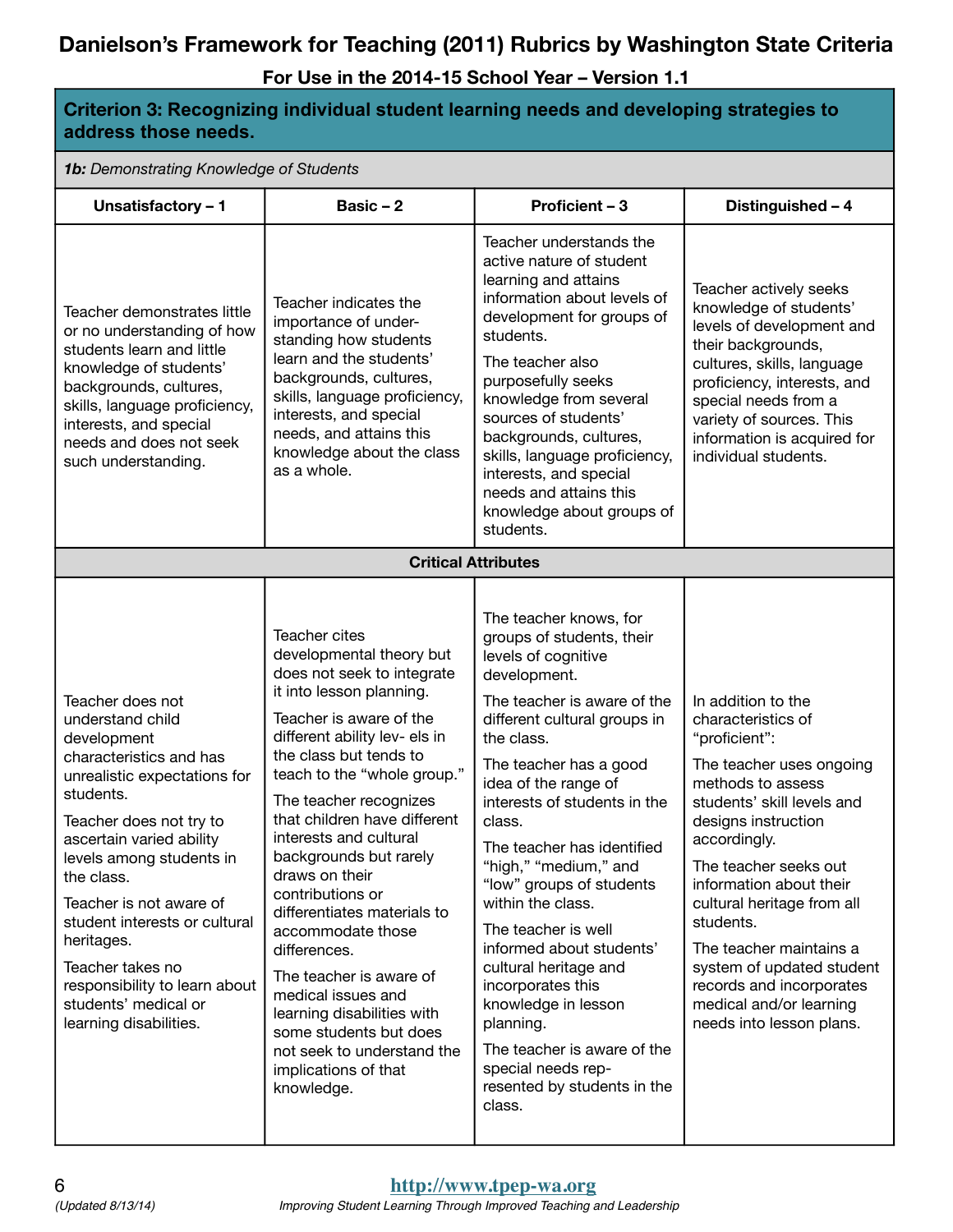| Criterion 3: Recognizing individual student learning needs and developing strategies to<br>address those needs.                                                                                                                                                                                                                                                                                               |                                                                                                                                                                                                                                                                                                                                                                                                                                                                                                                                                                                                                               |                                                                                                                                                                                                                                                                                                                                                                                                                                                                                                                                                                                                                |                                                                                                                                                                                                                                                                                                                                                                                                                           |  |
|---------------------------------------------------------------------------------------------------------------------------------------------------------------------------------------------------------------------------------------------------------------------------------------------------------------------------------------------------------------------------------------------------------------|-------------------------------------------------------------------------------------------------------------------------------------------------------------------------------------------------------------------------------------------------------------------------------------------------------------------------------------------------------------------------------------------------------------------------------------------------------------------------------------------------------------------------------------------------------------------------------------------------------------------------------|----------------------------------------------------------------------------------------------------------------------------------------------------------------------------------------------------------------------------------------------------------------------------------------------------------------------------------------------------------------------------------------------------------------------------------------------------------------------------------------------------------------------------------------------------------------------------------------------------------------|---------------------------------------------------------------------------------------------------------------------------------------------------------------------------------------------------------------------------------------------------------------------------------------------------------------------------------------------------------------------------------------------------------------------------|--|
|                                                                                                                                                                                                                                                                                                                                                                                                               | 1b: Demonstrating Knowledge of Students                                                                                                                                                                                                                                                                                                                                                                                                                                                                                                                                                                                       |                                                                                                                                                                                                                                                                                                                                                                                                                                                                                                                                                                                                                |                                                                                                                                                                                                                                                                                                                                                                                                                           |  |
| Unsatisfactory - 1                                                                                                                                                                                                                                                                                                                                                                                            | Basic $-2$                                                                                                                                                                                                                                                                                                                                                                                                                                                                                                                                                                                                                    | Proficient - 3                                                                                                                                                                                                                                                                                                                                                                                                                                                                                                                                                                                                 | Distinguished - 4                                                                                                                                                                                                                                                                                                                                                                                                         |  |
| Teacher demonstrates little<br>or no understanding of how<br>students learn and little<br>knowledge of students'<br>backgrounds, cultures,<br>skills, language proficiency,<br>interests, and special<br>needs and does not seek<br>such understanding.                                                                                                                                                       | Teacher indicates the<br>importance of under-<br>standing how students<br>learn and the students'<br>backgrounds, cultures,<br>skills, language proficiency,<br>interests, and special<br>needs, and attains this<br>knowledge about the class<br>as a whole.                                                                                                                                                                                                                                                                                                                                                                 | Teacher understands the<br>active nature of student<br>learning and attains<br>information about levels of<br>development for groups of<br>students.<br>The teacher also<br>purposefully seeks<br>knowledge from several<br>sources of students'<br>backgrounds, cultures,<br>skills, language proficiency,<br>interests, and special<br>needs and attains this<br>knowledge about groups of<br>students.                                                                                                                                                                                                      | Teacher actively seeks<br>knowledge of students'<br>levels of development and<br>their backgrounds,<br>cultures, skills, language<br>proficiency, interests, and<br>special needs from a<br>variety of sources. This<br>information is acquired for<br>individual students.                                                                                                                                               |  |
|                                                                                                                                                                                                                                                                                                                                                                                                               | <b>Critical Attributes</b>                                                                                                                                                                                                                                                                                                                                                                                                                                                                                                                                                                                                    |                                                                                                                                                                                                                                                                                                                                                                                                                                                                                                                                                                                                                |                                                                                                                                                                                                                                                                                                                                                                                                                           |  |
| Teacher does not<br>understand child<br>development<br>characteristics and has<br>unrealistic expectations for<br>students.<br>Teacher does not try to<br>ascertain varied ability<br>levels among students in<br>the class.<br>Teacher is not aware of<br>student interests or cultural<br>heritages.<br>Teacher takes no<br>responsibility to learn about<br>students' medical or<br>learning disabilities. | Teacher cites<br>developmental theory but<br>does not seek to integrate<br>it into lesson planning.<br>Teacher is aware of the<br>different ability lev- els in<br>the class but tends to<br>teach to the "whole group."<br>The teacher recognizes<br>that children have different<br>interests and cultural<br>backgrounds but rarely<br>draws on their<br>contributions or<br>differentiates materials to<br>accommodate those<br>differences.<br>The teacher is aware of<br>medical issues and<br>learning disabilities with<br>some students but does<br>not seek to understand the<br>implications of that<br>knowledge. | The teacher knows, for<br>groups of students, their<br>levels of cognitive<br>development.<br>The teacher is aware of the<br>different cultural groups in<br>the class.<br>The teacher has a good<br>idea of the range of<br>interests of students in the<br>class.<br>The teacher has identified<br>"high," "medium," and<br>"low" groups of students<br>within the class.<br>The teacher is well<br>informed about students'<br>cultural heritage and<br>incorporates this<br>knowledge in lesson<br>planning.<br>The teacher is aware of the<br>special needs rep-<br>resented by students in the<br>class. | In addition to the<br>characteristics of<br>"proficient":<br>The teacher uses ongoing<br>methods to assess<br>students' skill levels and<br>designs instruction<br>accordingly.<br>The teacher seeks out<br>information about their<br>cultural heritage from all<br>students.<br>The teacher maintains a<br>system of updated student<br>records and incorporates<br>medical and/or learning<br>needs into lesson plans. |  |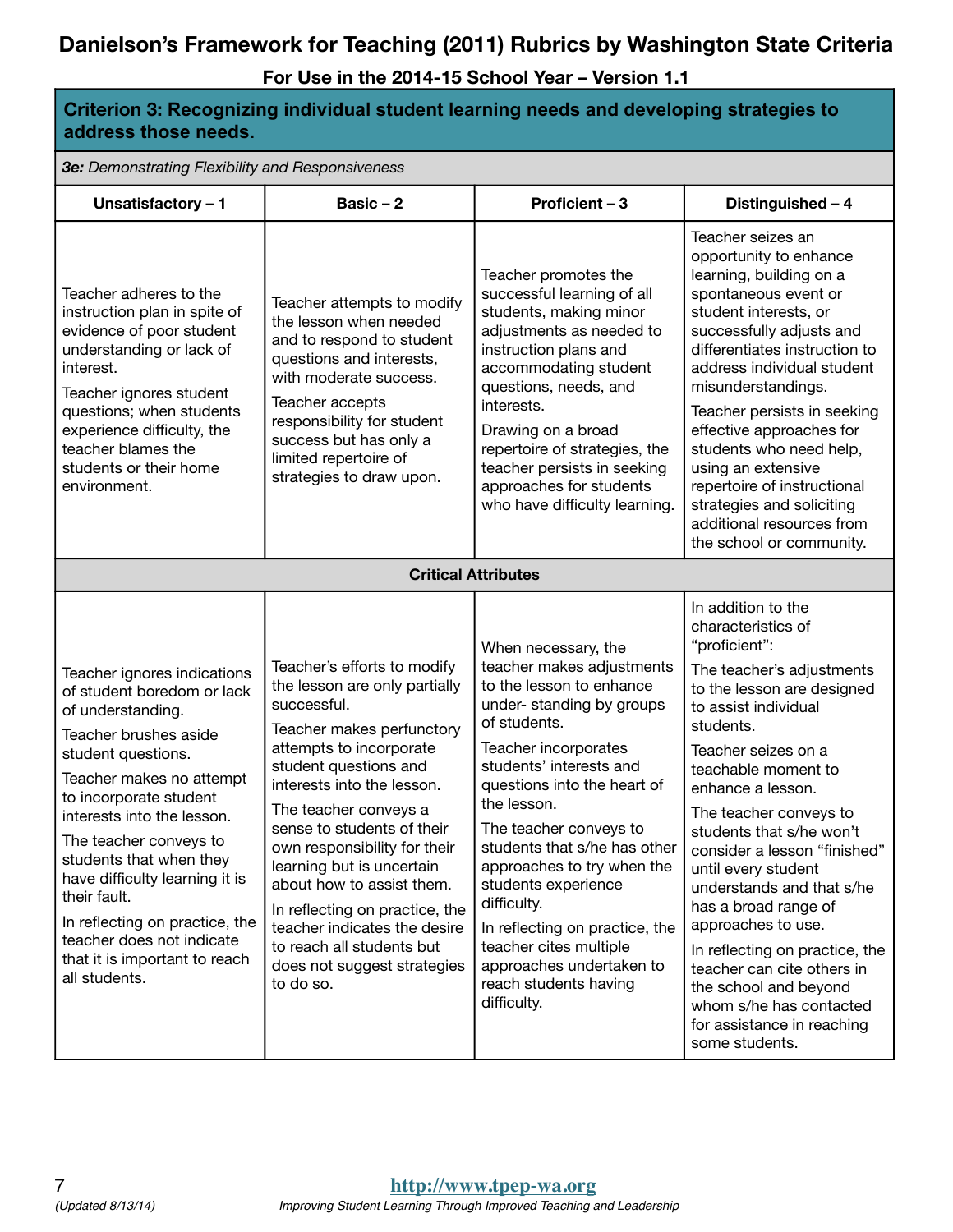**For Use in the 2014-15 School Year – Version 1.1**

**Criterion 3: Recognizing individual student learning needs and developing strategies to** 

| address those needs.                                                                                                                                                                                                                                                                                                                                                                                                                      |                                                                                                                                                                                                                                                                                                                                                                                                                                                                                        |                                                                                                                                                                                                                                                                                                                                                                                                                                                                                         |                                                                                                                                                                                                                                                                                                                                                                                                                                                                                                                                                                                          |  |
|-------------------------------------------------------------------------------------------------------------------------------------------------------------------------------------------------------------------------------------------------------------------------------------------------------------------------------------------------------------------------------------------------------------------------------------------|----------------------------------------------------------------------------------------------------------------------------------------------------------------------------------------------------------------------------------------------------------------------------------------------------------------------------------------------------------------------------------------------------------------------------------------------------------------------------------------|-----------------------------------------------------------------------------------------------------------------------------------------------------------------------------------------------------------------------------------------------------------------------------------------------------------------------------------------------------------------------------------------------------------------------------------------------------------------------------------------|------------------------------------------------------------------------------------------------------------------------------------------------------------------------------------------------------------------------------------------------------------------------------------------------------------------------------------------------------------------------------------------------------------------------------------------------------------------------------------------------------------------------------------------------------------------------------------------|--|
| 3e: Demonstrating Flexibility and Responsiveness                                                                                                                                                                                                                                                                                                                                                                                          |                                                                                                                                                                                                                                                                                                                                                                                                                                                                                        |                                                                                                                                                                                                                                                                                                                                                                                                                                                                                         |                                                                                                                                                                                                                                                                                                                                                                                                                                                                                                                                                                                          |  |
| Unsatisfactory - 1                                                                                                                                                                                                                                                                                                                                                                                                                        | Basic $-2$                                                                                                                                                                                                                                                                                                                                                                                                                                                                             | <b>Proficient - 3</b>                                                                                                                                                                                                                                                                                                                                                                                                                                                                   | Distinguished - 4                                                                                                                                                                                                                                                                                                                                                                                                                                                                                                                                                                        |  |
| Teacher adheres to the<br>instruction plan in spite of<br>evidence of poor student<br>understanding or lack of<br>interest.<br>Teacher ignores student<br>questions; when students<br>experience difficulty, the<br>teacher blames the<br>students or their home<br>environment.                                                                                                                                                          | Teacher attempts to modify<br>the lesson when needed<br>and to respond to student<br>questions and interests,<br>with moderate success.<br>Teacher accepts<br>responsibility for student<br>success but has only a<br>limited repertoire of<br>strategies to draw upon.                                                                                                                                                                                                                | Teacher promotes the<br>successful learning of all<br>students, making minor<br>adjustments as needed to<br>instruction plans and<br>accommodating student<br>questions, needs, and<br>interests.<br>Drawing on a broad<br>repertoire of strategies, the<br>teacher persists in seeking<br>approaches for students<br>who have difficulty learning.                                                                                                                                     | Teacher seizes an<br>opportunity to enhance<br>learning, building on a<br>spontaneous event or<br>student interests, or<br>successfully adjusts and<br>differentiates instruction to<br>address individual student<br>misunderstandings.<br>Teacher persists in seeking<br>effective approaches for<br>students who need help,<br>using an extensive<br>repertoire of instructional<br>strategies and soliciting<br>additional resources from<br>the school or community.                                                                                                                |  |
|                                                                                                                                                                                                                                                                                                                                                                                                                                           |                                                                                                                                                                                                                                                                                                                                                                                                                                                                                        | <b>Critical Attributes</b>                                                                                                                                                                                                                                                                                                                                                                                                                                                              |                                                                                                                                                                                                                                                                                                                                                                                                                                                                                                                                                                                          |  |
| Teacher ignores indications<br>of student boredom or lack<br>of understanding.<br>Teacher brushes aside<br>student questions.<br>Teacher makes no attempt<br>to incorporate student<br>interests into the lesson.<br>The teacher conveys to<br>students that when they<br>have difficulty learning it is<br>their fault.<br>In reflecting on practice, the<br>teacher does not indicate<br>that it is important to reach<br>all students. | Teacher's efforts to modify<br>the lesson are only partially<br>successful.<br>Teacher makes perfunctory<br>attempts to incorporate<br>student questions and<br>interests into the lesson.<br>The teacher conveys a<br>sense to students of their<br>own responsibility for their<br>learning but is uncertain<br>about how to assist them.<br>In reflecting on practice, the<br>teacher indicates the desire<br>to reach all students but<br>does not suggest strategies<br>to do so. | When necessary, the<br>teacher makes adjustments<br>to the lesson to enhance<br>under-standing by groups<br>of students.<br>Teacher incorporates<br>students' interests and<br>questions into the heart of<br>the lesson.<br>The teacher conveys to<br>students that s/he has other<br>approaches to try when the<br>students experience<br>difficulty.<br>In reflecting on practice, the<br>teacher cites multiple<br>approaches undertaken to<br>reach students having<br>difficulty. | In addition to the<br>characteristics of<br>"proficient":<br>The teacher's adjustments<br>to the lesson are designed<br>to assist individual<br>students.<br>Teacher seizes on a<br>teachable moment to<br>enhance a lesson.<br>The teacher conveys to<br>students that s/he won't<br>consider a lesson "finished"<br>until every student<br>understands and that s/he<br>has a broad range of<br>approaches to use.<br>In reflecting on practice, the<br>teacher can cite others in<br>the school and beyond<br>whom s/he has contacted<br>for assistance in reaching<br>some students. |  |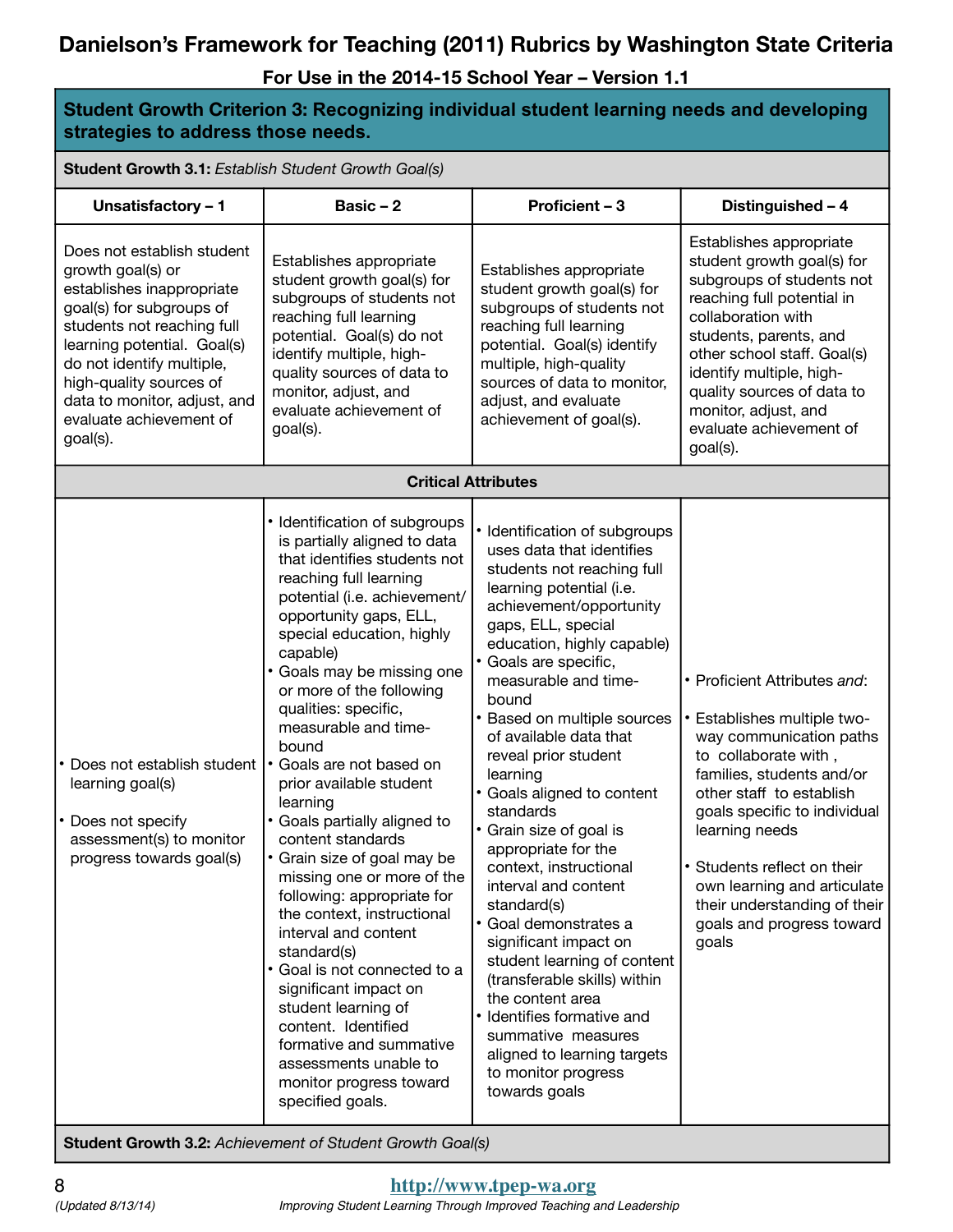**For Use in the 2014-15 School Year – Version 1.1**

**Student Growth Criterion 3: Recognizing individual student learning needs and developing strategies to address those needs.**

**Student Growth 3.1:** *Establish Student Growth Goal(s)*

| Unsatisfactory - 1                                                                                                                                                                                                                                                                                   | Basic $-2$                                                                                                                                                                                                                                                                                                                                                                                                                                                                                                                                                                                                                                                                                                                                                                                                                                      | Proficient - 3                                                                                                                                                                                                                                                                                                                                                                                                                                                                                                                                                                                                                                                                                                                                                                     | Distinguished - 4                                                                                                                                                                                                                                                                                                                                             |
|------------------------------------------------------------------------------------------------------------------------------------------------------------------------------------------------------------------------------------------------------------------------------------------------------|-------------------------------------------------------------------------------------------------------------------------------------------------------------------------------------------------------------------------------------------------------------------------------------------------------------------------------------------------------------------------------------------------------------------------------------------------------------------------------------------------------------------------------------------------------------------------------------------------------------------------------------------------------------------------------------------------------------------------------------------------------------------------------------------------------------------------------------------------|------------------------------------------------------------------------------------------------------------------------------------------------------------------------------------------------------------------------------------------------------------------------------------------------------------------------------------------------------------------------------------------------------------------------------------------------------------------------------------------------------------------------------------------------------------------------------------------------------------------------------------------------------------------------------------------------------------------------------------------------------------------------------------|---------------------------------------------------------------------------------------------------------------------------------------------------------------------------------------------------------------------------------------------------------------------------------------------------------------------------------------------------------------|
| Does not establish student<br>growth goal(s) or<br>establishes inappropriate<br>goal(s) for subgroups of<br>students not reaching full<br>learning potential. Goal(s)<br>do not identify multiple,<br>high-quality sources of<br>data to monitor, adjust, and<br>evaluate achievement of<br>goal(s). | Establishes appropriate<br>student growth goal(s) for<br>subgroups of students not<br>reaching full learning<br>potential. Goal(s) do not<br>identify multiple, high-<br>quality sources of data to<br>monitor, adjust, and<br>evaluate achievement of<br>goal(s).                                                                                                                                                                                                                                                                                                                                                                                                                                                                                                                                                                              | Establishes appropriate<br>student growth goal(s) for<br>subgroups of students not<br>reaching full learning<br>potential. Goal(s) identify<br>multiple, high-quality<br>sources of data to monitor,<br>adjust, and evaluate<br>achievement of goal(s).                                                                                                                                                                                                                                                                                                                                                                                                                                                                                                                            | Establishes appropriate<br>student growth goal(s) for<br>subgroups of students not<br>reaching full potential in<br>collaboration with<br>students, parents, and<br>other school staff. Goal(s)<br>identify multiple, high-<br>quality sources of data to<br>monitor, adjust, and<br>evaluate achievement of<br>goal(s).                                      |
|                                                                                                                                                                                                                                                                                                      |                                                                                                                                                                                                                                                                                                                                                                                                                                                                                                                                                                                                                                                                                                                                                                                                                                                 | <b>Critical Attributes</b>                                                                                                                                                                                                                                                                                                                                                                                                                                                                                                                                                                                                                                                                                                                                                         |                                                                                                                                                                                                                                                                                                                                                               |
| Does not establish student<br>learning goal(s)<br>• Does not specify<br>assessment(s) to monitor<br>progress towards goal(s)                                                                                                                                                                         | • Identification of subgroups<br>is partially aligned to data<br>that identifies students not<br>reaching full learning<br>potential (i.e. achievement/<br>opportunity gaps, ELL,<br>special education, highly<br>capable)<br>• Goals may be missing one<br>or more of the following<br>qualities: specific,<br>measurable and time-<br>bound<br>• Goals are not based on<br>prior available student<br>learning<br>• Goals partially aligned to<br>content standards<br>• Grain size of goal may be<br>missing one or more of the<br>following: appropriate for<br>the context, instructional<br>interval and content<br>standard(s)<br>· Goal is not connected to a<br>significant impact on<br>student learning of<br>content. Identified<br>formative and summative<br>assessments unable to<br>monitor progress toward<br>specified goals. | • Identification of subgroups<br>uses data that identifies<br>students not reaching full<br>learning potential (i.e.<br>achievement/opportunity<br>gaps, ELL, special<br>education, highly capable)<br>· Goals are specific,<br>measurable and time-<br>bound<br>Based on multiple sources<br>of available data that<br>reveal prior student<br>learning<br>Goals aligned to content<br>standards<br>Grain size of goal is<br>appropriate for the<br>context, instructional<br>interval and content<br>standard(s)<br>· Goal demonstrates a<br>significant impact on<br>student learning of content<br>(transferable skills) within<br>the content area<br>• Identifies formative and<br>summative measures<br>aligned to learning targets<br>to monitor progress<br>towards goals | • Proficient Attributes and:<br>• Establishes multiple two-<br>way communication paths<br>to collaborate with,<br>families, students and/or<br>other staff to establish<br>goals specific to individual<br>learning needs<br>• Students reflect on their<br>own learning and articulate<br>their understanding of their<br>goals and progress toward<br>goals |

**Student Growth 3.2:** *Achievement of Student Growth Goal(s)*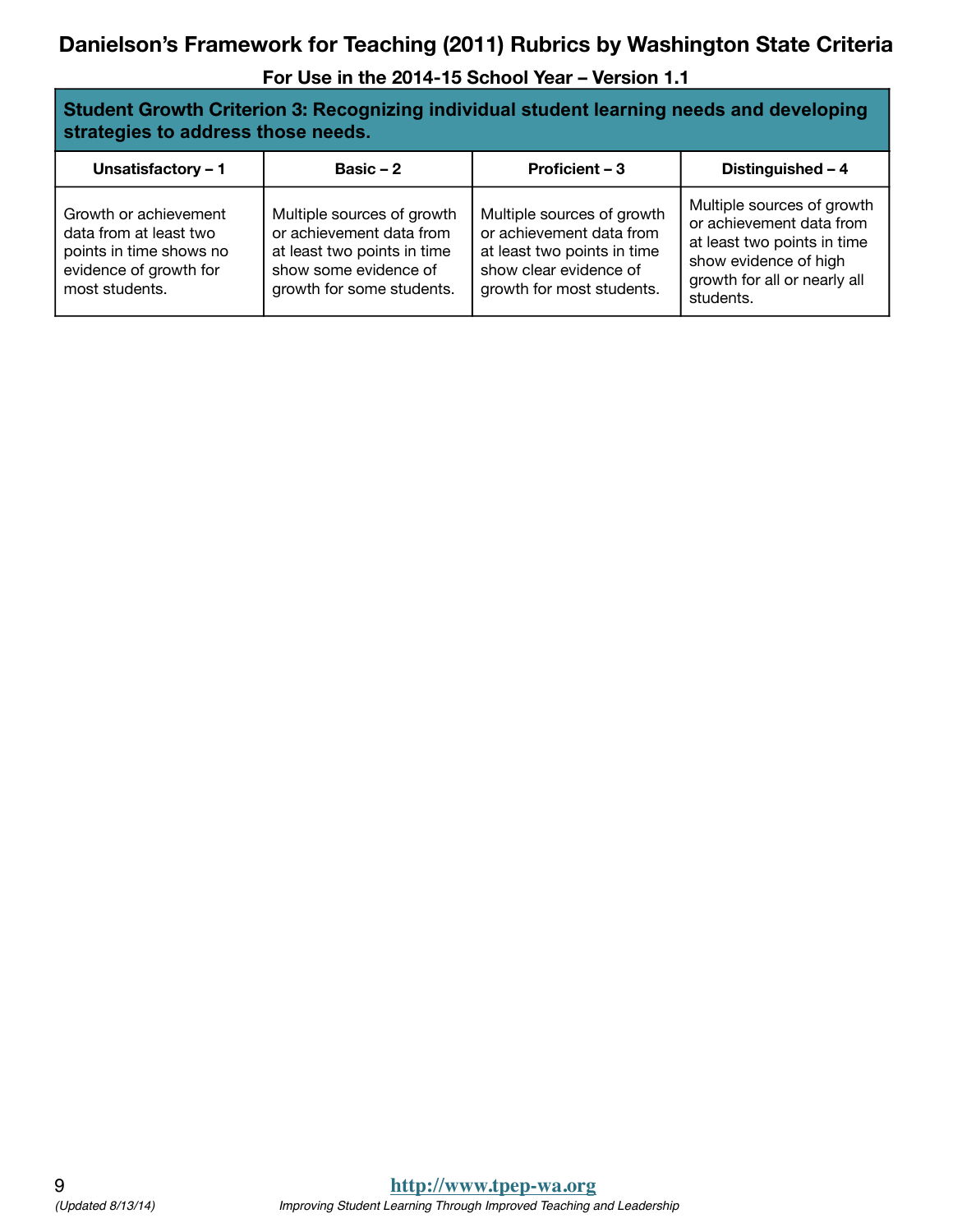| Student Growth Criterion 3: Recognizing individual student learning needs and developing |
|------------------------------------------------------------------------------------------|
| strategies to address those needs.                                                       |

| Unsatisfactory - 1                                                                                                     | Basic $-2$                                                                                                                                  | Proficient - 3                                                                                                                               | Distinguished - 4                                                                                                                                           |
|------------------------------------------------------------------------------------------------------------------------|---------------------------------------------------------------------------------------------------------------------------------------------|----------------------------------------------------------------------------------------------------------------------------------------------|-------------------------------------------------------------------------------------------------------------------------------------------------------------|
| Growth or achievement<br>data from at least two<br>points in time shows no<br>evidence of growth for<br>most students. | Multiple sources of growth<br>or achievement data from<br>at least two points in time<br>show some evidence of<br>growth for some students. | Multiple sources of growth<br>or achievement data from<br>at least two points in time<br>show clear evidence of<br>growth for most students. | Multiple sources of growth<br>or achievement data from<br>at least two points in time<br>show evidence of high<br>growth for all or nearly all<br>students. |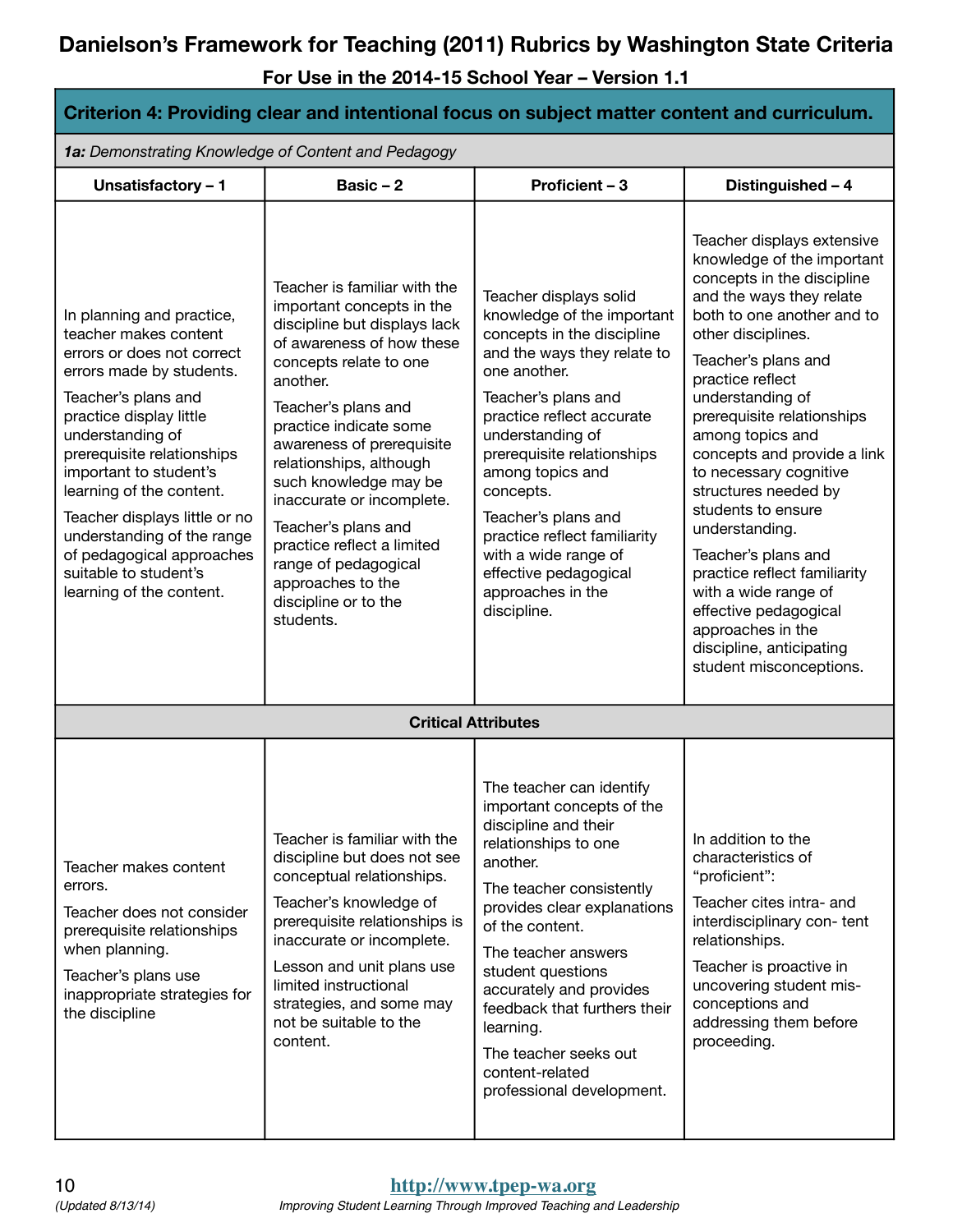| Criterion 4: Providing clear and intentional focus on subject matter content and curriculum.                                                                                                                                                                                                                                                                                                                            |                                                                                                                                                                                                                                                                                                                                                                                                                                                                    |                                                                                                                                                                                                                                                                                                                                                                                                                      |                                                                                                                                                                                                                                                                                                                                                                                                                                                                                                                                                                                                      |  |
|-------------------------------------------------------------------------------------------------------------------------------------------------------------------------------------------------------------------------------------------------------------------------------------------------------------------------------------------------------------------------------------------------------------------------|--------------------------------------------------------------------------------------------------------------------------------------------------------------------------------------------------------------------------------------------------------------------------------------------------------------------------------------------------------------------------------------------------------------------------------------------------------------------|----------------------------------------------------------------------------------------------------------------------------------------------------------------------------------------------------------------------------------------------------------------------------------------------------------------------------------------------------------------------------------------------------------------------|------------------------------------------------------------------------------------------------------------------------------------------------------------------------------------------------------------------------------------------------------------------------------------------------------------------------------------------------------------------------------------------------------------------------------------------------------------------------------------------------------------------------------------------------------------------------------------------------------|--|
| 1a: Demonstrating Knowledge of Content and Pedagogy                                                                                                                                                                                                                                                                                                                                                                     |                                                                                                                                                                                                                                                                                                                                                                                                                                                                    |                                                                                                                                                                                                                                                                                                                                                                                                                      |                                                                                                                                                                                                                                                                                                                                                                                                                                                                                                                                                                                                      |  |
| Unsatisfactory - 1                                                                                                                                                                                                                                                                                                                                                                                                      | Basic $-2$                                                                                                                                                                                                                                                                                                                                                                                                                                                         | Proficient - 3                                                                                                                                                                                                                                                                                                                                                                                                       | Distinguished - 4                                                                                                                                                                                                                                                                                                                                                                                                                                                                                                                                                                                    |  |
| In planning and practice,<br>teacher makes content<br>errors or does not correct<br>errors made by students.<br>Teacher's plans and<br>practice display little<br>understanding of<br>prerequisite relationships<br>important to student's<br>learning of the content.<br>Teacher displays little or no<br>understanding of the range<br>of pedagogical approaches<br>suitable to student's<br>learning of the content. | Teacher is familiar with the<br>important concepts in the<br>discipline but displays lack<br>of awareness of how these<br>concepts relate to one<br>another.<br>Teacher's plans and<br>practice indicate some<br>awareness of prerequisite<br>relationships, although<br>such knowledge may be<br>inaccurate or incomplete.<br>Teacher's plans and<br>practice reflect a limited<br>range of pedagogical<br>approaches to the<br>discipline or to the<br>students. | Teacher displays solid<br>knowledge of the important<br>concepts in the discipline<br>and the ways they relate to<br>one another.<br>Teacher's plans and<br>practice reflect accurate<br>understanding of<br>prerequisite relationships<br>among topics and<br>concepts.<br>Teacher's plans and<br>practice reflect familiarity<br>with a wide range of<br>effective pedagogical<br>approaches in the<br>discipline. | Teacher displays extensive<br>knowledge of the important<br>concepts in the discipline<br>and the ways they relate<br>both to one another and to<br>other disciplines.<br>Teacher's plans and<br>practice reflect<br>understanding of<br>prerequisite relationships<br>among topics and<br>concepts and provide a link<br>to necessary cognitive<br>structures needed by<br>students to ensure<br>understanding.<br>Teacher's plans and<br>practice reflect familiarity<br>with a wide range of<br>effective pedagogical<br>approaches in the<br>discipline, anticipating<br>student misconceptions. |  |
|                                                                                                                                                                                                                                                                                                                                                                                                                         |                                                                                                                                                                                                                                                                                                                                                                                                                                                                    | <b>Critical Attributes</b>                                                                                                                                                                                                                                                                                                                                                                                           |                                                                                                                                                                                                                                                                                                                                                                                                                                                                                                                                                                                                      |  |
| Teacher makes content<br>errors.<br>Teacher does not consider<br>prerequisite relationships<br>when planning.<br>Teacher's plans use<br>inappropriate strategies for<br>the discipline                                                                                                                                                                                                                                  | Teacher is familiar with the<br>discipline but does not see<br>conceptual relationships.<br>Teacher's knowledge of<br>prerequisite relationships is<br>inaccurate or incomplete.<br>Lesson and unit plans use<br>limited instructional<br>strategies, and some may<br>not be suitable to the<br>content.                                                                                                                                                           | The teacher can identify<br>important concepts of the<br>discipline and their<br>relationships to one<br>another.<br>The teacher consistently<br>provides clear explanations<br>of the content.<br>The teacher answers<br>student questions<br>accurately and provides<br>feedback that furthers their<br>learning.<br>The teacher seeks out<br>content-related<br>professional development.                         | In addition to the<br>characteristics of<br>"proficient":<br>Teacher cites intra- and<br>interdisciplinary con-tent<br>relationships.<br>Teacher is proactive in<br>uncovering student mis-<br>conceptions and<br>addressing them before<br>proceeding.                                                                                                                                                                                                                                                                                                                                              |  |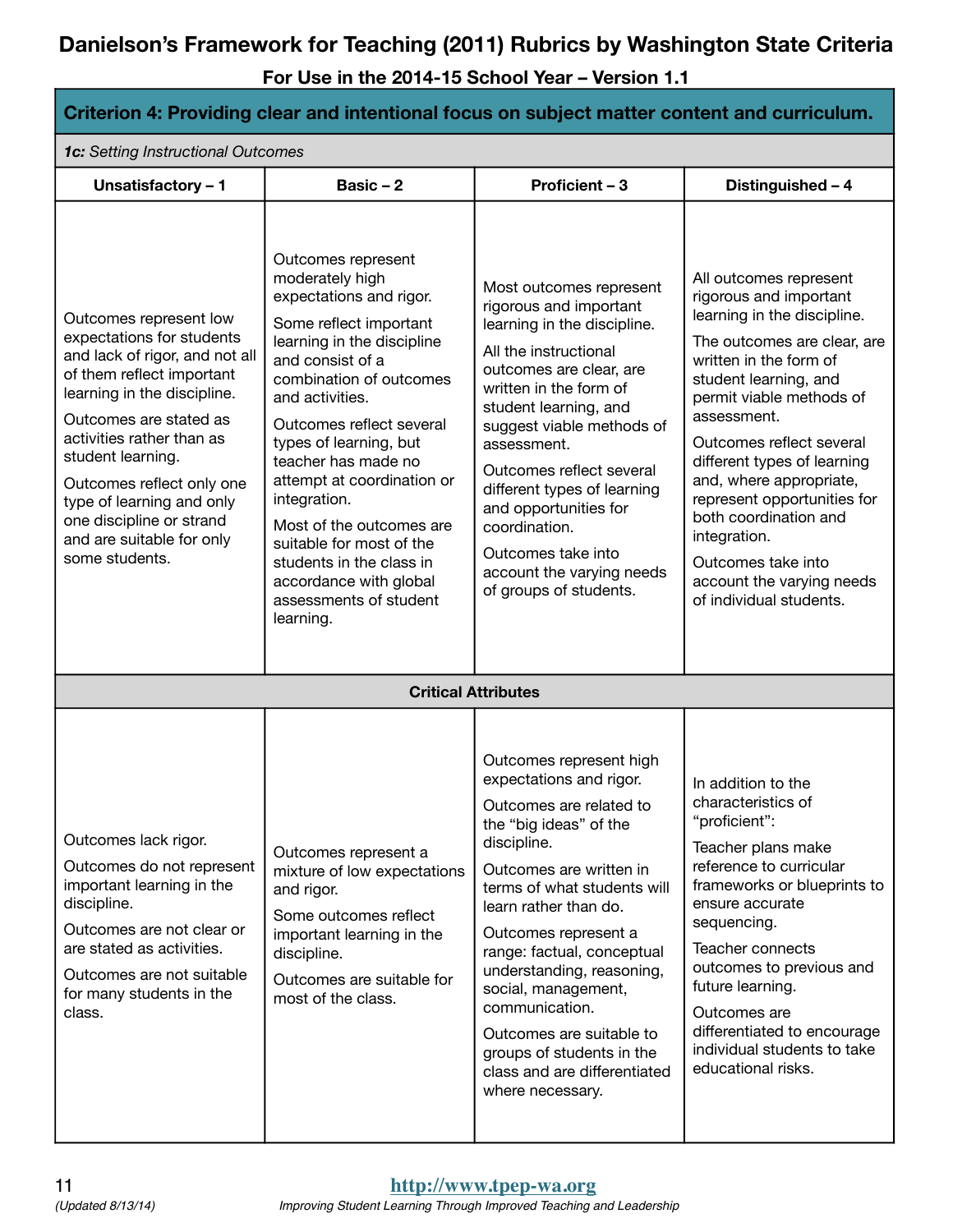| Criterion 4: Providing clear and intentional focus on subject matter content and curriculum.                                                                                                                                                                                                                                                                       |                                                                                                                                                                                                                                                                                                                                                                                                                                                                            |                                                                                                                                                                                                                                                                                                                                                                                                                                                    |                                                                                                                                                                                                                                                                                                                                                                                                                                                          |  |
|--------------------------------------------------------------------------------------------------------------------------------------------------------------------------------------------------------------------------------------------------------------------------------------------------------------------------------------------------------------------|----------------------------------------------------------------------------------------------------------------------------------------------------------------------------------------------------------------------------------------------------------------------------------------------------------------------------------------------------------------------------------------------------------------------------------------------------------------------------|----------------------------------------------------------------------------------------------------------------------------------------------------------------------------------------------------------------------------------------------------------------------------------------------------------------------------------------------------------------------------------------------------------------------------------------------------|----------------------------------------------------------------------------------------------------------------------------------------------------------------------------------------------------------------------------------------------------------------------------------------------------------------------------------------------------------------------------------------------------------------------------------------------------------|--|
| 1c: Setting Instructional Outcomes                                                                                                                                                                                                                                                                                                                                 |                                                                                                                                                                                                                                                                                                                                                                                                                                                                            |                                                                                                                                                                                                                                                                                                                                                                                                                                                    |                                                                                                                                                                                                                                                                                                                                                                                                                                                          |  |
| Unsatisfactory - 1                                                                                                                                                                                                                                                                                                                                                 | Basic $-2$                                                                                                                                                                                                                                                                                                                                                                                                                                                                 | Proficient - 3                                                                                                                                                                                                                                                                                                                                                                                                                                     | Distinguished - 4                                                                                                                                                                                                                                                                                                                                                                                                                                        |  |
| Outcomes represent low<br>expectations for students<br>and lack of rigor, and not all<br>of them reflect important<br>learning in the discipline.<br>Outcomes are stated as<br>activities rather than as<br>student learning.<br>Outcomes reflect only one<br>type of learning and only<br>one discipline or strand<br>and are suitable for only<br>some students. | Outcomes represent<br>moderately high<br>expectations and rigor.<br>Some reflect important<br>learning in the discipline<br>and consist of a<br>combination of outcomes<br>and activities.<br>Outcomes reflect several<br>types of learning, but<br>teacher has made no<br>attempt at coordination or<br>integration.<br>Most of the outcomes are<br>suitable for most of the<br>students in the class in<br>accordance with global<br>assessments of student<br>learning. | Most outcomes represent<br>rigorous and important<br>learning in the discipline.<br>All the instructional<br>outcomes are clear, are<br>written in the form of<br>student learning, and<br>suggest viable methods of<br>assessment.<br>Outcomes reflect several<br>different types of learning<br>and opportunities for<br>coordination.<br>Outcomes take into<br>account the varying needs<br>of groups of students.                              | All outcomes represent<br>rigorous and important<br>learning in the discipline.<br>The outcomes are clear, are<br>written in the form of<br>student learning, and<br>permit viable methods of<br>assessment.<br>Outcomes reflect several<br>different types of learning<br>and, where appropriate,<br>represent opportunities for<br>both coordination and<br>integration.<br>Outcomes take into<br>account the varying needs<br>of individual students. |  |
|                                                                                                                                                                                                                                                                                                                                                                    |                                                                                                                                                                                                                                                                                                                                                                                                                                                                            | <b>Critical Attributes</b>                                                                                                                                                                                                                                                                                                                                                                                                                         |                                                                                                                                                                                                                                                                                                                                                                                                                                                          |  |
| Outcomes lack rigor.<br>Outcomes do not represent<br>important learning in the<br>discipline.<br>Outcomes are not clear or<br>are stated as activities.<br>Outcomes are not suitable<br>for many students in the<br>class.                                                                                                                                         | Outcomes represent a<br>mixture of low expectations<br>and rigor.<br>Some outcomes reflect<br>important learning in the<br>discipline.<br>Outcomes are suitable for<br>most of the class.                                                                                                                                                                                                                                                                                  | Outcomes represent high<br>expectations and rigor.<br>Outcomes are related to<br>the "big ideas" of the<br>discipline.<br>Outcomes are written in<br>terms of what students will<br>learn rather than do.<br>Outcomes represent a<br>range: factual, conceptual<br>understanding, reasoning,<br>social, management,<br>communication.<br>Outcomes are suitable to<br>groups of students in the<br>class and are differentiated<br>where necessary. | In addition to the<br>characteristics of<br>"proficient":<br>Teacher plans make<br>reference to curricular<br>frameworks or blueprints to<br>ensure accurate<br>sequencing.<br>Teacher connects<br>outcomes to previous and<br>future learning.<br>Outcomes are<br>differentiated to encourage<br>individual students to take<br>educational risks.                                                                                                      |  |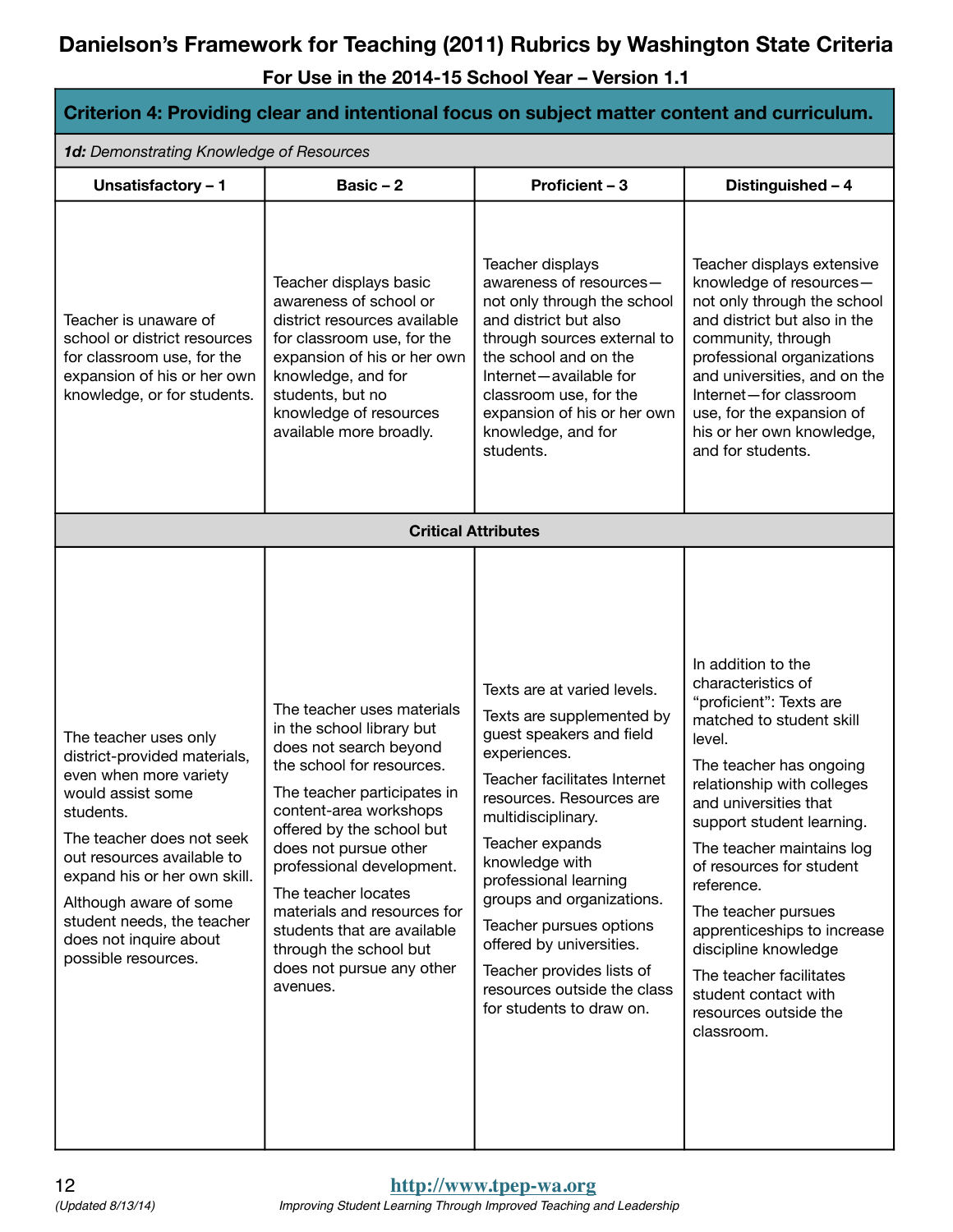| Criterion 4: Providing clear and intentional focus on subject matter content and curriculum.                                                                                                                                                                                                                          |                                                                                                                                                                                                                                                                                                                                                                                                                    |                                                                                                                                                                                                                                                                                                                                                                                                                                  |                                                                                                                                                                                                                                                                                                                                                                                                                                                                         |  |
|-----------------------------------------------------------------------------------------------------------------------------------------------------------------------------------------------------------------------------------------------------------------------------------------------------------------------|--------------------------------------------------------------------------------------------------------------------------------------------------------------------------------------------------------------------------------------------------------------------------------------------------------------------------------------------------------------------------------------------------------------------|----------------------------------------------------------------------------------------------------------------------------------------------------------------------------------------------------------------------------------------------------------------------------------------------------------------------------------------------------------------------------------------------------------------------------------|-------------------------------------------------------------------------------------------------------------------------------------------------------------------------------------------------------------------------------------------------------------------------------------------------------------------------------------------------------------------------------------------------------------------------------------------------------------------------|--|
| 1d: Demonstrating Knowledge of Resources                                                                                                                                                                                                                                                                              |                                                                                                                                                                                                                                                                                                                                                                                                                    |                                                                                                                                                                                                                                                                                                                                                                                                                                  |                                                                                                                                                                                                                                                                                                                                                                                                                                                                         |  |
| Unsatisfactory - 1                                                                                                                                                                                                                                                                                                    | Basic $-2$                                                                                                                                                                                                                                                                                                                                                                                                         | Proficient - 3                                                                                                                                                                                                                                                                                                                                                                                                                   | Distinguished - 4                                                                                                                                                                                                                                                                                                                                                                                                                                                       |  |
| Teacher is unaware of<br>school or district resources<br>for classroom use, for the<br>expansion of his or her own<br>knowledge, or for students.                                                                                                                                                                     | Teacher displays basic<br>awareness of school or<br>district resources available<br>for classroom use, for the<br>expansion of his or her own<br>knowledge, and for<br>students, but no<br>knowledge of resources<br>available more broadly.                                                                                                                                                                       | Teacher displays<br>awareness of resources-<br>not only through the school<br>and district but also<br>through sources external to<br>the school and on the<br>Internet-available for<br>classroom use, for the<br>expansion of his or her own<br>knowledge, and for<br>students.                                                                                                                                                | Teacher displays extensive<br>knowledge of resources-<br>not only through the school<br>and district but also in the<br>community, through<br>professional organizations<br>and universities, and on the<br>Internet-for classroom<br>use, for the expansion of<br>his or her own knowledge,<br>and for students.                                                                                                                                                       |  |
|                                                                                                                                                                                                                                                                                                                       | <b>Critical Attributes</b>                                                                                                                                                                                                                                                                                                                                                                                         |                                                                                                                                                                                                                                                                                                                                                                                                                                  |                                                                                                                                                                                                                                                                                                                                                                                                                                                                         |  |
| The teacher uses only<br>district-provided materials,<br>even when more variety<br>would assist some<br>students.<br>The teacher does not seek<br>out resources available to<br>expand his or her own skill.<br>Although aware of some<br>student needs, the teacher<br>does not inquire about<br>possible resources. | The teacher uses materials<br>in the school library but<br>does not search beyond<br>the school for resources.<br>The teacher participates in<br>content-area workshops<br>offered by the school but<br>does not pursue other<br>professional development.<br>The teacher locates<br>materials and resources for<br>students that are available<br>through the school but<br>does not pursue any other<br>avenues. | Texts are at varied levels.<br>Texts are supplemented by<br>guest speakers and field<br>experiences.<br>Teacher facilitates Internet<br>resources. Resources are<br>multidisciplinary.<br>Teacher expands<br>knowledge with<br>professional learning<br>groups and organizations.<br>Teacher pursues options<br>offered by universities.<br>Teacher provides lists of<br>resources outside the class<br>for students to draw on. | In addition to the<br>characteristics of<br>"proficient": Texts are<br>matched to student skill<br>level.<br>The teacher has ongoing<br>relationship with colleges<br>and universities that<br>support student learning.<br>The teacher maintains log<br>of resources for student<br>reference.<br>The teacher pursues<br>apprenticeships to increase<br>discipline knowledge<br>The teacher facilitates<br>student contact with<br>resources outside the<br>classroom. |  |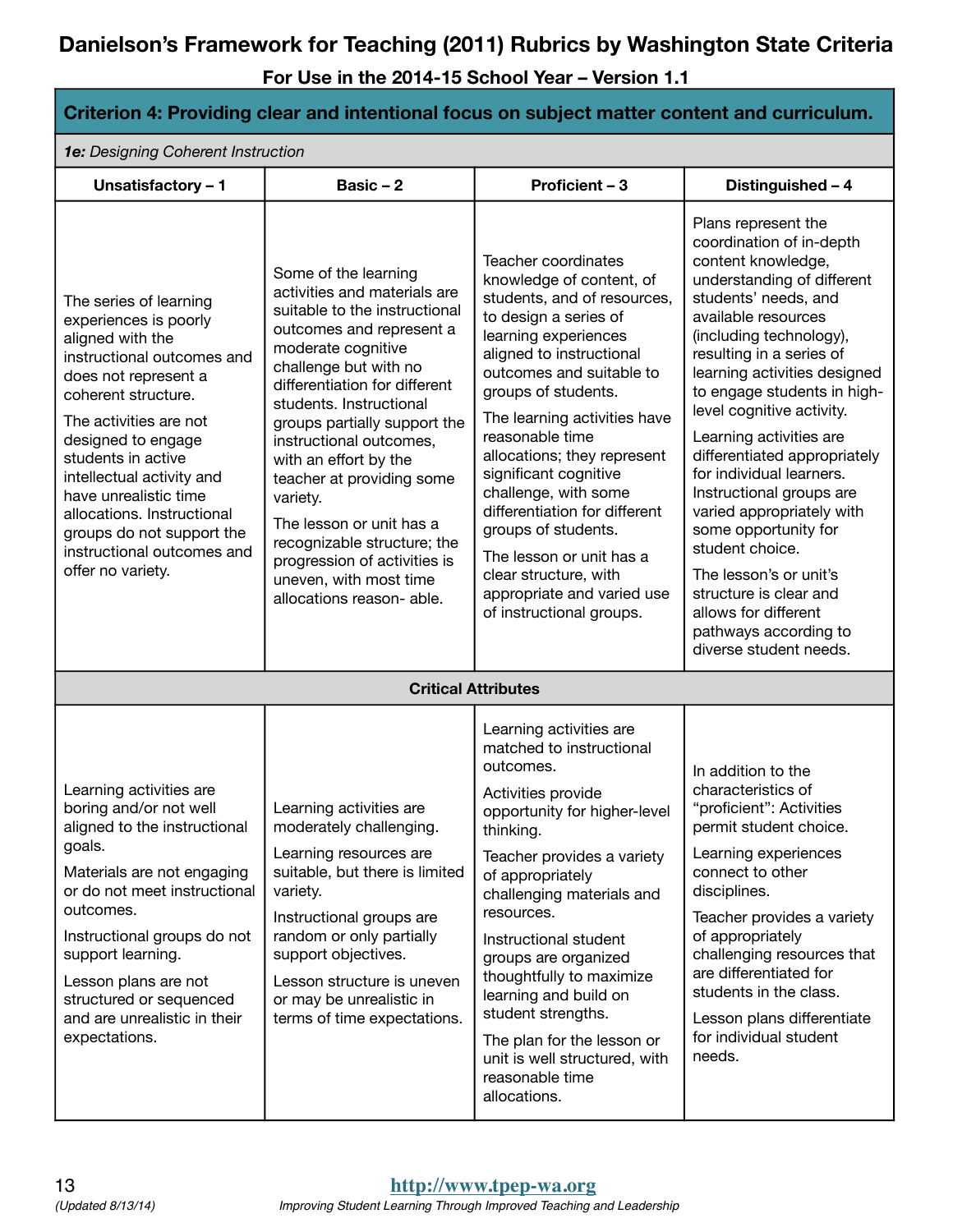| Criterion 4: Providing clear and intentional focus on subject matter content and curriculum.                                                                                                                                                                                                                                                                                               |                                                                                                                                                                                                                                                                                                                                                                                                                                                                                                             |                                                                                                                                                                                                                                                                                                                                                                                                                                                                                                                          |                                                                                                                                                                                                                                                                                                                                                                                                                                                                                                                                                                                                                                 |  |
|--------------------------------------------------------------------------------------------------------------------------------------------------------------------------------------------------------------------------------------------------------------------------------------------------------------------------------------------------------------------------------------------|-------------------------------------------------------------------------------------------------------------------------------------------------------------------------------------------------------------------------------------------------------------------------------------------------------------------------------------------------------------------------------------------------------------------------------------------------------------------------------------------------------------|--------------------------------------------------------------------------------------------------------------------------------------------------------------------------------------------------------------------------------------------------------------------------------------------------------------------------------------------------------------------------------------------------------------------------------------------------------------------------------------------------------------------------|---------------------------------------------------------------------------------------------------------------------------------------------------------------------------------------------------------------------------------------------------------------------------------------------------------------------------------------------------------------------------------------------------------------------------------------------------------------------------------------------------------------------------------------------------------------------------------------------------------------------------------|--|
| 1e: Designing Coherent Instruction                                                                                                                                                                                                                                                                                                                                                         |                                                                                                                                                                                                                                                                                                                                                                                                                                                                                                             |                                                                                                                                                                                                                                                                                                                                                                                                                                                                                                                          |                                                                                                                                                                                                                                                                                                                                                                                                                                                                                                                                                                                                                                 |  |
| Unsatisfactory - 1                                                                                                                                                                                                                                                                                                                                                                         | Basic $-2$                                                                                                                                                                                                                                                                                                                                                                                                                                                                                                  | Proficient - 3                                                                                                                                                                                                                                                                                                                                                                                                                                                                                                           | Distinguished - 4                                                                                                                                                                                                                                                                                                                                                                                                                                                                                                                                                                                                               |  |
| The series of learning<br>experiences is poorly<br>aligned with the<br>instructional outcomes and<br>does not represent a<br>coherent structure.<br>The activities are not<br>designed to engage<br>students in active<br>intellectual activity and<br>have unrealistic time<br>allocations. Instructional<br>groups do not support the<br>instructional outcomes and<br>offer no variety. | Some of the learning<br>activities and materials are<br>suitable to the instructional<br>outcomes and represent a<br>moderate cognitive<br>challenge but with no<br>differentiation for different<br>students. Instructional<br>groups partially support the<br>instructional outcomes,<br>with an effort by the<br>teacher at providing some<br>variety.<br>The lesson or unit has a<br>recognizable structure; the<br>progression of activities is<br>uneven, with most time<br>allocations reason- able. | Teacher coordinates<br>knowledge of content, of<br>students, and of resources,<br>to design a series of<br>learning experiences<br>aligned to instructional<br>outcomes and suitable to<br>groups of students.<br>The learning activities have<br>reasonable time<br>allocations; they represent<br>significant cognitive<br>challenge, with some<br>differentiation for different<br>groups of students.<br>The lesson or unit has a<br>clear structure, with<br>appropriate and varied use<br>of instructional groups. | Plans represent the<br>coordination of in-depth<br>content knowledge,<br>understanding of different<br>students' needs, and<br>available resources<br>(including technology),<br>resulting in a series of<br>learning activities designed<br>to engage students in high-<br>level cognitive activity.<br>Learning activities are<br>differentiated appropriately<br>for individual learners.<br>Instructional groups are<br>varied appropriately with<br>some opportunity for<br>student choice.<br>The lesson's or unit's<br>structure is clear and<br>allows for different<br>pathways according to<br>diverse student needs. |  |
|                                                                                                                                                                                                                                                                                                                                                                                            |                                                                                                                                                                                                                                                                                                                                                                                                                                                                                                             | <b>Critical Attributes</b>                                                                                                                                                                                                                                                                                                                                                                                                                                                                                               |                                                                                                                                                                                                                                                                                                                                                                                                                                                                                                                                                                                                                                 |  |
| Learning activities are<br>boring and/or not well<br>aligned to the instructional<br>goals.<br>Materials are not engaging<br>or do not meet instructional<br>outcomes.<br>Instructional groups do not<br>support learning.<br>Lesson plans are not<br>structured or sequenced<br>and are unrealistic in their<br>expectations.                                                             | Learning activities are<br>moderately challenging.<br>Learning resources are<br>suitable, but there is limited<br>variety.<br>Instructional groups are<br>random or only partially<br>support objectives.<br>Lesson structure is uneven<br>or may be unrealistic in<br>terms of time expectations.                                                                                                                                                                                                          | Learning activities are<br>matched to instructional<br>outcomes.<br>Activities provide<br>opportunity for higher-level<br>thinking.<br>Teacher provides a variety<br>of appropriately<br>challenging materials and<br>resources.<br>Instructional student<br>groups are organized<br>thoughtfully to maximize<br>learning and build on<br>student strengths.<br>The plan for the lesson or<br>unit is well structured, with<br>reasonable time<br>allocations.                                                           | In addition to the<br>characteristics of<br>"proficient": Activities<br>permit student choice.<br>Learning experiences<br>connect to other<br>disciplines.<br>Teacher provides a variety<br>of appropriately<br>challenging resources that<br>are differentiated for<br>students in the class.<br>Lesson plans differentiate<br>for individual student<br>needs.                                                                                                                                                                                                                                                                |  |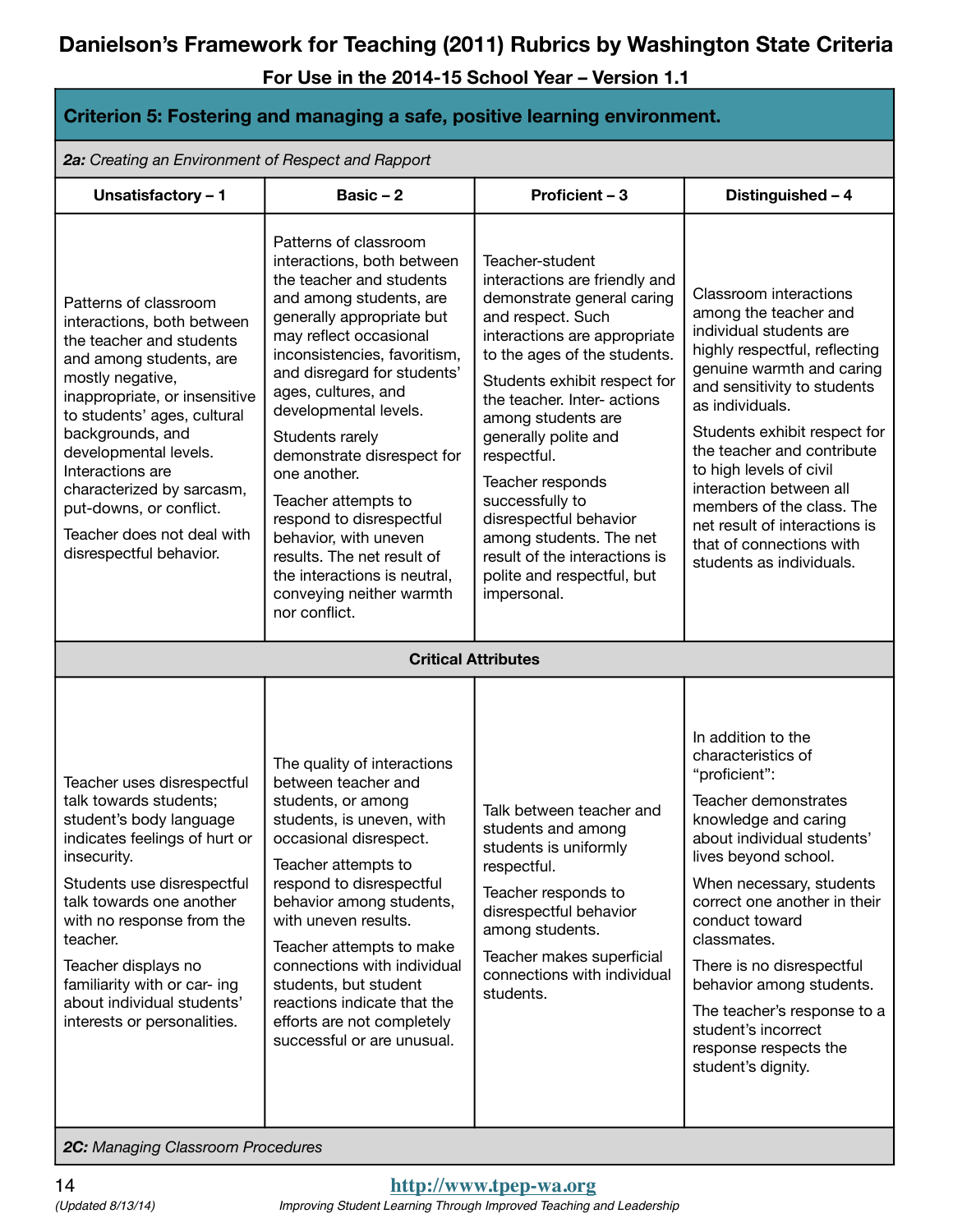**For Use in the 2014-15 School Year – Version 1.1**

| Criterion 5: Fostering and managing a safe, positive learning environment.                                                                                                                                                                                                                                                                                                       |                                                                                                                                                                                                                                                                                                                                                                                                                                                                                                                                          |                                                                                                                                                                                                                                                                                                                                                                                                                                                                           |                                                                                                                                                                                                                                                                                                                                                                                                                                      |  |
|----------------------------------------------------------------------------------------------------------------------------------------------------------------------------------------------------------------------------------------------------------------------------------------------------------------------------------------------------------------------------------|------------------------------------------------------------------------------------------------------------------------------------------------------------------------------------------------------------------------------------------------------------------------------------------------------------------------------------------------------------------------------------------------------------------------------------------------------------------------------------------------------------------------------------------|---------------------------------------------------------------------------------------------------------------------------------------------------------------------------------------------------------------------------------------------------------------------------------------------------------------------------------------------------------------------------------------------------------------------------------------------------------------------------|--------------------------------------------------------------------------------------------------------------------------------------------------------------------------------------------------------------------------------------------------------------------------------------------------------------------------------------------------------------------------------------------------------------------------------------|--|
| 2a: Creating an Environment of Respect and Rapport                                                                                                                                                                                                                                                                                                                               |                                                                                                                                                                                                                                                                                                                                                                                                                                                                                                                                          |                                                                                                                                                                                                                                                                                                                                                                                                                                                                           |                                                                                                                                                                                                                                                                                                                                                                                                                                      |  |
| Unsatisfactory - 1                                                                                                                                                                                                                                                                                                                                                               | Basic $-2$                                                                                                                                                                                                                                                                                                                                                                                                                                                                                                                               | Proficient - 3                                                                                                                                                                                                                                                                                                                                                                                                                                                            | Distinguished - 4                                                                                                                                                                                                                                                                                                                                                                                                                    |  |
| Patterns of classroom<br>interactions, both between<br>the teacher and students<br>and among students, are<br>mostly negative,<br>inappropriate, or insensitive<br>to students' ages, cultural<br>backgrounds, and<br>developmental levels.<br>Interactions are<br>characterized by sarcasm,<br>put-downs, or conflict.<br>Teacher does not deal with<br>disrespectful behavior. | Patterns of classroom<br>interactions, both between<br>the teacher and students<br>and among students, are<br>generally appropriate but<br>may reflect occasional<br>inconsistencies, favoritism,<br>and disregard for students'<br>ages, cultures, and<br>developmental levels.<br>Students rarely<br>demonstrate disrespect for<br>one another.<br>Teacher attempts to<br>respond to disrespectful<br>behavior, with uneven<br>results. The net result of<br>the interactions is neutral,<br>conveying neither warmth<br>nor conflict. | Teacher-student<br>interactions are friendly and<br>demonstrate general caring<br>and respect. Such<br>interactions are appropriate<br>to the ages of the students.<br>Students exhibit respect for<br>the teacher. Inter- actions<br>among students are<br>generally polite and<br>respectful.<br>Teacher responds<br>successfully to<br>disrespectful behavior<br>among students. The net<br>result of the interactions is<br>polite and respectful, but<br>impersonal. | Classroom interactions<br>among the teacher and<br>individual students are<br>highly respectful, reflecting<br>genuine warmth and caring<br>and sensitivity to students<br>as individuals.<br>Students exhibit respect for<br>the teacher and contribute<br>to high levels of civil<br>interaction between all<br>members of the class. The<br>net result of interactions is<br>that of connections with<br>students as individuals. |  |
|                                                                                                                                                                                                                                                                                                                                                                                  | <b>Critical Attributes</b>                                                                                                                                                                                                                                                                                                                                                                                                                                                                                                               |                                                                                                                                                                                                                                                                                                                                                                                                                                                                           |                                                                                                                                                                                                                                                                                                                                                                                                                                      |  |
| Teacher uses disrespectful<br>talk towards students;<br>student's body language<br>indicates feelings of hurt or<br>insecurity.<br>Students use disrespectful<br>talk towards one another<br>with no response from the<br>teacher.<br>Teacher displays no<br>familiarity with or car- ing<br>about individual students'<br>interests or personalities.                           | The quality of interactions<br>between teacher and<br>students, or among<br>students, is uneven, with<br>occasional disrespect.<br>Teacher attempts to<br>respond to disrespectful<br>behavior among students,<br>with uneven results.<br>Teacher attempts to make<br>connections with individual<br>students, but student<br>reactions indicate that the<br>efforts are not completely<br>successful or are unusual.                                                                                                                    | Talk between teacher and<br>students and among<br>students is uniformly<br>respectful.<br>Teacher responds to<br>disrespectful behavior<br>among students.<br>Teacher makes superficial<br>connections with individual<br>students.                                                                                                                                                                                                                                       | In addition to the<br>characteristics of<br>"proficient":<br>Teacher demonstrates<br>knowledge and caring<br>about individual students'<br>lives beyond school.<br>When necessary, students<br>correct one another in their<br>conduct toward<br>classmates.<br>There is no disrespectful<br>behavior among students.<br>The teacher's response to a<br>student's incorrect<br>response respects the<br>student's dignity.           |  |

*2C: Managing Classroom Procedures*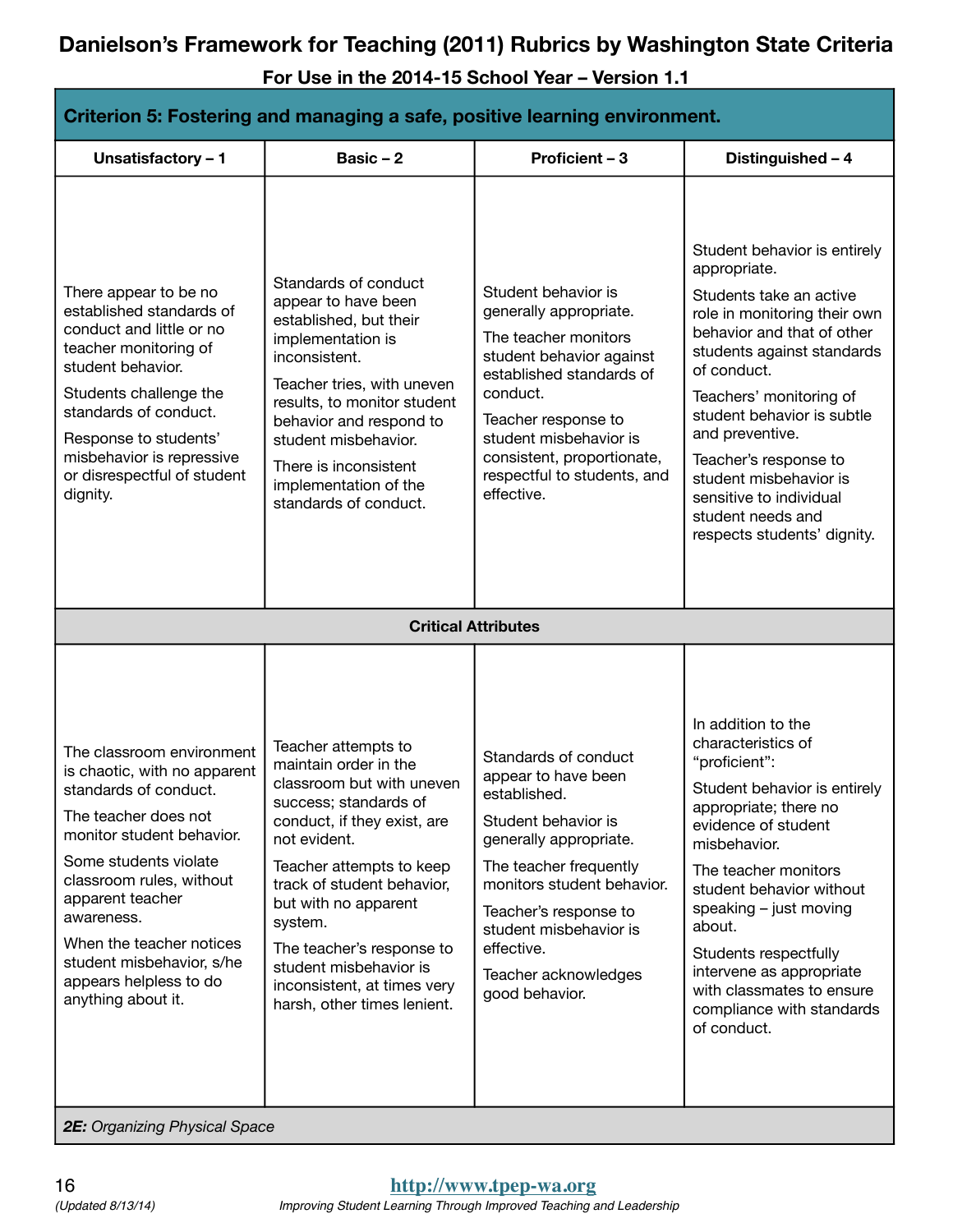**For Use in the 2014-15 School Year – Version 1.1**

| Criterion 5: Fostering and managing a safe, positive learning environment.                                                                                                                                                                                                                                                              |                                                                                                                                                                                                                                                                                                                                                                     |                                                                                                                                                                                                                                                                                 |                                                                                                                                                                                                                                                                                                                                                                                                  |
|-----------------------------------------------------------------------------------------------------------------------------------------------------------------------------------------------------------------------------------------------------------------------------------------------------------------------------------------|---------------------------------------------------------------------------------------------------------------------------------------------------------------------------------------------------------------------------------------------------------------------------------------------------------------------------------------------------------------------|---------------------------------------------------------------------------------------------------------------------------------------------------------------------------------------------------------------------------------------------------------------------------------|--------------------------------------------------------------------------------------------------------------------------------------------------------------------------------------------------------------------------------------------------------------------------------------------------------------------------------------------------------------------------------------------------|
| Unsatisfactory - 1                                                                                                                                                                                                                                                                                                                      | Basic $-2$                                                                                                                                                                                                                                                                                                                                                          | <b>Proficient - 3</b>                                                                                                                                                                                                                                                           | Distinguished - 4                                                                                                                                                                                                                                                                                                                                                                                |
| There appear to be no<br>established standards of<br>conduct and little or no<br>teacher monitoring of<br>student behavior.<br>Students challenge the<br>standards of conduct.<br>Response to students'<br>misbehavior is repressive<br>or disrespectful of student<br>dignity.                                                         | Standards of conduct<br>appear to have been<br>established, but their<br>implementation is<br>inconsistent.<br>Teacher tries, with uneven<br>results, to monitor student<br>behavior and respond to<br>student misbehavior.<br>There is inconsistent<br>implementation of the<br>standards of conduct.                                                              | Student behavior is<br>generally appropriate.<br>The teacher monitors<br>student behavior against<br>established standards of<br>conduct.<br>Teacher response to<br>student misbehavior is<br>consistent, proportionate,<br>respectful to students, and<br>effective.           | Student behavior is entirely<br>appropriate.<br>Students take an active<br>role in monitoring their own<br>behavior and that of other<br>students against standards<br>of conduct.<br>Teachers' monitoring of<br>student behavior is subtle<br>and preventive.<br>Teacher's response to<br>student misbehavior is<br>sensitive to individual<br>student needs and<br>respects students' dignity. |
|                                                                                                                                                                                                                                                                                                                                         |                                                                                                                                                                                                                                                                                                                                                                     | <b>Critical Attributes</b>                                                                                                                                                                                                                                                      |                                                                                                                                                                                                                                                                                                                                                                                                  |
| The classroom environment<br>is chaotic, with no apparent<br>standards of conduct.<br>The teacher does not<br>monitor student behavior.<br>Some students violate<br>classroom rules, without<br>apparent teacher<br>awareness.<br>When the teacher notices<br>student misbehavior, s/he<br>appears helpless to do<br>anything about it. | Teacher attempts to<br>maintain order in the<br>classroom but with uneven<br>success; standards of<br>conduct, if they exist, are<br>not evident.<br>Teacher attempts to keep<br>track of student behavior,<br>but with no apparent<br>system.<br>The teacher's response to<br>student misbehavior is<br>inconsistent, at times very<br>harsh, other times lenient. | Standards of conduct<br>appear to have been<br>established.<br>Student behavior is<br>generally appropriate.<br>The teacher frequently<br>monitors student behavior.<br>Teacher's response to<br>student misbehavior is<br>effective.<br>Teacher acknowledges<br>good behavior. | In addition to the<br>characteristics of<br>"proficient":<br>Student behavior is entirely<br>appropriate; there no<br>evidence of student<br>misbehavior.<br>The teacher monitors<br>student behavior without<br>speaking - just moving<br>about.<br>Students respectfully<br>intervene as appropriate<br>with classmates to ensure<br>compliance with standards<br>of conduct.                  |

*2E: Organizing Physical Space*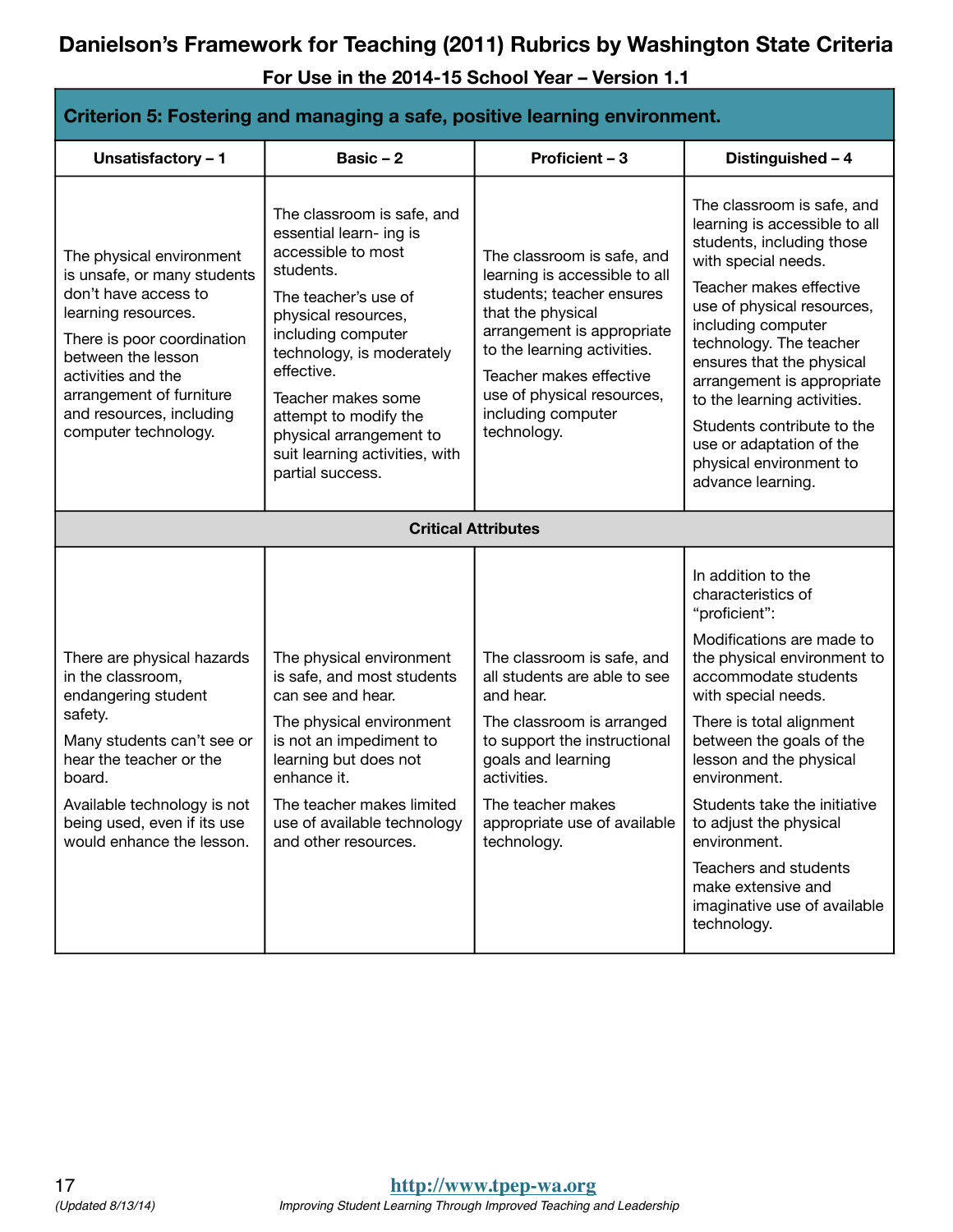| Criterion 5: Fostering and managing a safe, positive learning environment.                                                                                                                                                                                       |                                                                                                                                                                                                                                                                                                                                          |                                                                                                                                                                                                                                                                          |                                                                                                                                                                                                                                                                                                                                                                                                                                                 |
|------------------------------------------------------------------------------------------------------------------------------------------------------------------------------------------------------------------------------------------------------------------|------------------------------------------------------------------------------------------------------------------------------------------------------------------------------------------------------------------------------------------------------------------------------------------------------------------------------------------|--------------------------------------------------------------------------------------------------------------------------------------------------------------------------------------------------------------------------------------------------------------------------|-------------------------------------------------------------------------------------------------------------------------------------------------------------------------------------------------------------------------------------------------------------------------------------------------------------------------------------------------------------------------------------------------------------------------------------------------|
| Unsatisfactory - 1                                                                                                                                                                                                                                               | Basic $-2$                                                                                                                                                                                                                                                                                                                               | Proficient - 3                                                                                                                                                                                                                                                           | Distinguished - 4                                                                                                                                                                                                                                                                                                                                                                                                                               |
| The physical environment<br>is unsafe, or many students<br>don't have access to<br>learning resources.<br>There is poor coordination<br>between the lesson<br>activities and the<br>arrangement of furniture<br>and resources, including<br>computer technology. | The classroom is safe, and<br>essential learn- ing is<br>accessible to most<br>students.<br>The teacher's use of<br>physical resources,<br>including computer<br>technology, is moderately<br>effective.<br>Teacher makes some<br>attempt to modify the<br>physical arrangement to<br>suit learning activities, with<br>partial success. | The classroom is safe, and<br>learning is accessible to all<br>students; teacher ensures<br>that the physical<br>arrangement is appropriate<br>to the learning activities.<br>Teacher makes effective<br>use of physical resources,<br>including computer<br>technology. | The classroom is safe, and<br>learning is accessible to all<br>students, including those<br>with special needs.<br>Teacher makes effective<br>use of physical resources,<br>including computer<br>technology. The teacher<br>ensures that the physical<br>arrangement is appropriate<br>to the learning activities.<br>Students contribute to the<br>use or adaptation of the<br>physical environment to<br>advance learning.                   |
|                                                                                                                                                                                                                                                                  | <b>Critical Attributes</b>                                                                                                                                                                                                                                                                                                               |                                                                                                                                                                                                                                                                          |                                                                                                                                                                                                                                                                                                                                                                                                                                                 |
| There are physical hazards<br>in the classroom,<br>endangering student<br>safety.<br>Many students can't see or<br>hear the teacher or the<br>board.<br>Available technology is not<br>being used, even if its use<br>would enhance the lesson.                  | The physical environment<br>is safe, and most students<br>can see and hear.<br>The physical environment<br>is not an impediment to<br>learning but does not<br>enhance it.<br>The teacher makes limited<br>use of available technology<br>and other resources.                                                                           | The classroom is safe, and<br>all students are able to see<br>and hear.<br>The classroom is arranged<br>to support the instructional<br>goals and learning<br>activities.<br>The teacher makes<br>appropriate use of available<br>technology.                            | In addition to the<br>characteristics of<br>"proficient":<br>Modifications are made to<br>the physical environment to<br>accommodate students<br>with special needs.<br>There is total alignment<br>between the goals of the<br>lesson and the physical<br>environment.<br>Students take the initiative<br>to adjust the physical<br>environment.<br>Teachers and students<br>make extensive and<br>imaginative use of available<br>technology. |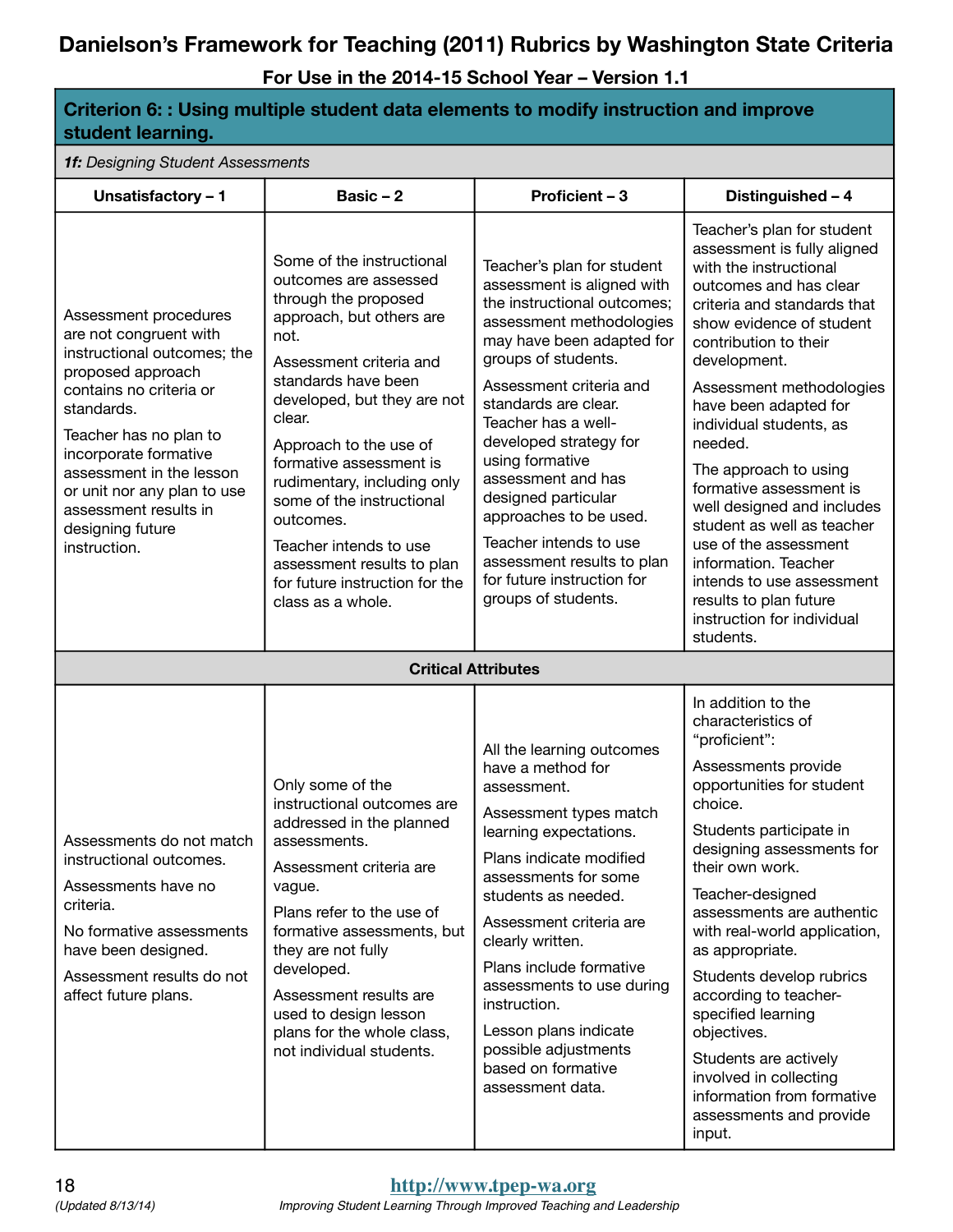**For Use in the 2014-15 School Year – Version 1.1**

**Criterion 6: : Using multiple student data elements to modify instruction and improve** 

| student learning.                                                                                                                                                                                                                                                                                                       |                                                                                                                                                                                                                                                                                                                                                                                                                                                        |                                                                                                                                                                                                                                                                                                                                                                                                                                                                                    |                                                                                                                                                                                                                                                                                                                                                                                                                                                                                                                                                                                 |  |
|-------------------------------------------------------------------------------------------------------------------------------------------------------------------------------------------------------------------------------------------------------------------------------------------------------------------------|--------------------------------------------------------------------------------------------------------------------------------------------------------------------------------------------------------------------------------------------------------------------------------------------------------------------------------------------------------------------------------------------------------------------------------------------------------|------------------------------------------------------------------------------------------------------------------------------------------------------------------------------------------------------------------------------------------------------------------------------------------------------------------------------------------------------------------------------------------------------------------------------------------------------------------------------------|---------------------------------------------------------------------------------------------------------------------------------------------------------------------------------------------------------------------------------------------------------------------------------------------------------------------------------------------------------------------------------------------------------------------------------------------------------------------------------------------------------------------------------------------------------------------------------|--|
| 1f: Designing Student Assessments                                                                                                                                                                                                                                                                                       |                                                                                                                                                                                                                                                                                                                                                                                                                                                        |                                                                                                                                                                                                                                                                                                                                                                                                                                                                                    |                                                                                                                                                                                                                                                                                                                                                                                                                                                                                                                                                                                 |  |
| Unsatisfactory - 1                                                                                                                                                                                                                                                                                                      | Basic $-2$                                                                                                                                                                                                                                                                                                                                                                                                                                             | Proficient - 3                                                                                                                                                                                                                                                                                                                                                                                                                                                                     | Distinguished - 4                                                                                                                                                                                                                                                                                                                                                                                                                                                                                                                                                               |  |
| Assessment procedures<br>are not congruent with<br>instructional outcomes; the<br>proposed approach<br>contains no criteria or<br>standards.<br>Teacher has no plan to<br>incorporate formative<br>assessment in the lesson<br>or unit nor any plan to use<br>assessment results in<br>designing future<br>instruction. | Some of the instructional<br>outcomes are assessed<br>through the proposed<br>approach, but others are<br>not.<br>Assessment criteria and<br>standards have been<br>developed, but they are not<br>clear.<br>Approach to the use of<br>formative assessment is<br>rudimentary, including only<br>some of the instructional<br>outcomes.<br>Teacher intends to use<br>assessment results to plan<br>for future instruction for the<br>class as a whole. | Teacher's plan for student<br>assessment is aligned with<br>the instructional outcomes;<br>assessment methodologies<br>may have been adapted for<br>groups of students.<br>Assessment criteria and<br>standards are clear.<br>Teacher has a well-<br>developed strategy for<br>using formative<br>assessment and has<br>designed particular<br>approaches to be used.<br>Teacher intends to use<br>assessment results to plan<br>for future instruction for<br>groups of students. | Teacher's plan for student<br>assessment is fully aligned<br>with the instructional<br>outcomes and has clear<br>criteria and standards that<br>show evidence of student<br>contribution to their<br>development.<br>Assessment methodologies<br>have been adapted for<br>individual students, as<br>needed.<br>The approach to using<br>formative assessment is<br>well designed and includes<br>student as well as teacher<br>use of the assessment<br>information. Teacher<br>intends to use assessment<br>results to plan future<br>instruction for individual<br>students. |  |
|                                                                                                                                                                                                                                                                                                                         |                                                                                                                                                                                                                                                                                                                                                                                                                                                        | <b>Critical Attributes</b>                                                                                                                                                                                                                                                                                                                                                                                                                                                         |                                                                                                                                                                                                                                                                                                                                                                                                                                                                                                                                                                                 |  |
| Assessments do not match<br>instructional outcomes.<br>Assessments have no<br>criteria.<br>No formative assessments<br>have been designed.<br>Assessment results do not<br>affect future plans.                                                                                                                         | Only some of the<br>instructional outcomes are<br>addressed in the planned<br>assessments.<br>Assessment criteria are<br>vague.<br>Plans refer to the use of<br>formative assessments, but<br>they are not fully<br>developed.<br>Assessment results are<br>used to design lesson<br>plans for the whole class,<br>not individual students.                                                                                                            | All the learning outcomes<br>have a method for<br>assessment.<br>Assessment types match<br>learning expectations.<br>Plans indicate modified<br>assessments for some<br>students as needed.<br>Assessment criteria are<br>clearly written.<br>Plans include formative<br>assessments to use during<br>instruction.<br>Lesson plans indicate<br>possible adjustments<br>based on formative<br>assessment data.                                                                      | In addition to the<br>characteristics of<br>"proficient":<br>Assessments provide<br>opportunities for student<br>choice.<br>Students participate in<br>designing assessments for<br>their own work.<br>Teacher-designed<br>assessments are authentic<br>with real-world application,<br>as appropriate.<br>Students develop rubrics<br>according to teacher-<br>specified learning<br>objectives.<br>Students are actively<br>involved in collecting<br>information from formative<br>assessments and provide<br>input.                                                         |  |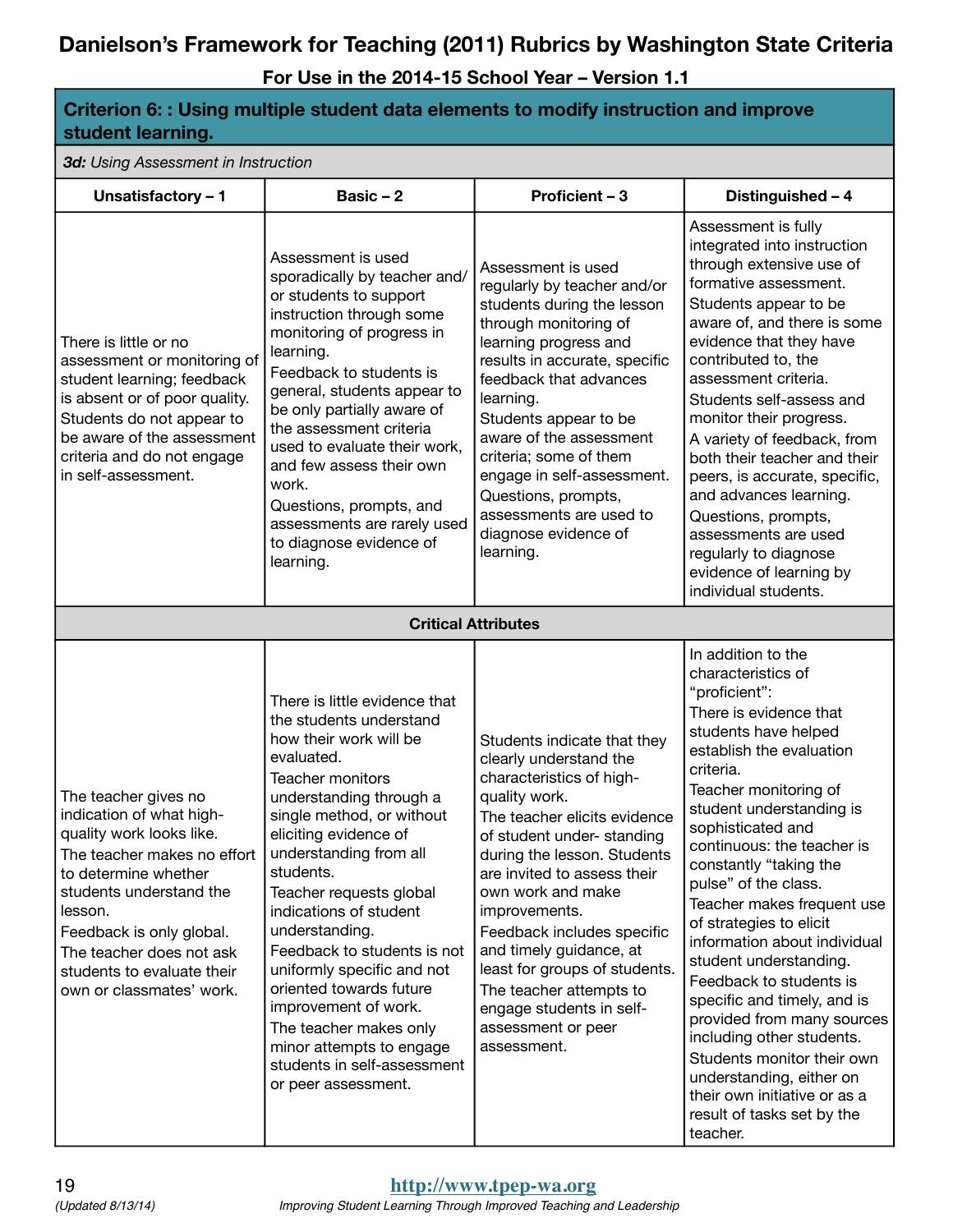**For Use in the 2014-15 School Year – Version 1.1**

**Criterion 6: : Using multiple student data elements to modify instruction and improve** 

| student learning.                                                                                                                                                                                                                                                                           |                                                                                                                                                                                                                                                                                                                                                                                                                                                                                                                                                 |                                                                                                                                                                                                                                                                                                                                                                                                                                                            |                                                                                                                                                                                                                                                                                                                                                                                                                                                                                                                                                                                                                                                                                            |  |  |
|---------------------------------------------------------------------------------------------------------------------------------------------------------------------------------------------------------------------------------------------------------------------------------------------|-------------------------------------------------------------------------------------------------------------------------------------------------------------------------------------------------------------------------------------------------------------------------------------------------------------------------------------------------------------------------------------------------------------------------------------------------------------------------------------------------------------------------------------------------|------------------------------------------------------------------------------------------------------------------------------------------------------------------------------------------------------------------------------------------------------------------------------------------------------------------------------------------------------------------------------------------------------------------------------------------------------------|--------------------------------------------------------------------------------------------------------------------------------------------------------------------------------------------------------------------------------------------------------------------------------------------------------------------------------------------------------------------------------------------------------------------------------------------------------------------------------------------------------------------------------------------------------------------------------------------------------------------------------------------------------------------------------------------|--|--|
|                                                                                                                                                                                                                                                                                             | 3d: Using Assessment in Instruction                                                                                                                                                                                                                                                                                                                                                                                                                                                                                                             |                                                                                                                                                                                                                                                                                                                                                                                                                                                            |                                                                                                                                                                                                                                                                                                                                                                                                                                                                                                                                                                                                                                                                                            |  |  |
| Unsatisfactory - 1                                                                                                                                                                                                                                                                          | Basic $-2$                                                                                                                                                                                                                                                                                                                                                                                                                                                                                                                                      | Proficient - 3                                                                                                                                                                                                                                                                                                                                                                                                                                             | Distinguished - 4                                                                                                                                                                                                                                                                                                                                                                                                                                                                                                                                                                                                                                                                          |  |  |
| There is little or no<br>assessment or monitoring of<br>student learning; feedback<br>is absent or of poor quality.<br>Students do not appear to<br>be aware of the assessment<br>criteria and do not engage<br>in self-assessment.                                                         | Assessment is used<br>sporadically by teacher and/<br>or students to support<br>instruction through some<br>monitoring of progress in<br>learning.<br>Feedback to students is<br>general, students appear to<br>be only partially aware of<br>the assessment criteria<br>used to evaluate their work,<br>and few assess their own<br>work.<br>Questions, prompts, and<br>assessments are rarely used<br>to diagnose evidence of<br>learning.                                                                                                    | Assessment is used<br>regularly by teacher and/or<br>students during the lesson<br>through monitoring of<br>learning progress and<br>results in accurate, specific<br>feedback that advances<br>learning.<br>Students appear to be<br>aware of the assessment<br>criteria; some of them<br>engage in self-assessment.<br>Questions, prompts,<br>assessments are used to<br>diagnose evidence of<br>learning.                                               | Assessment is fully<br>integrated into instruction<br>through extensive use of<br>formative assessment.<br>Students appear to be<br>aware of, and there is some<br>evidence that they have<br>contributed to, the<br>assessment criteria.<br>Students self-assess and<br>monitor their progress.<br>A variety of feedback, from<br>both their teacher and their<br>peers, is accurate, specific,<br>and advances learning.<br>Questions, prompts,<br>assessments are used<br>regularly to diagnose<br>evidence of learning by<br>individual students.                                                                                                                                      |  |  |
|                                                                                                                                                                                                                                                                                             |                                                                                                                                                                                                                                                                                                                                                                                                                                                                                                                                                 | <b>Critical Attributes</b>                                                                                                                                                                                                                                                                                                                                                                                                                                 |                                                                                                                                                                                                                                                                                                                                                                                                                                                                                                                                                                                                                                                                                            |  |  |
| The teacher gives no<br>indication of what high-<br>quality work looks like.<br>The teacher makes no effort<br>to determine whether<br>students understand the<br>lesson.<br>Feedback is only global.<br>The teacher does not ask<br>students to evaluate their<br>own or classmates' work. | There is little evidence that<br>the students understand<br>how their work will be<br>evaluated.<br>Teacher monitors<br>understanding through a<br>single method, or without<br>eliciting evidence of<br>understanding from all<br>students.<br>Teacher requests global<br>indications of student<br>understanding.<br>Feedback to students is not<br>uniformly specific and not<br>oriented towards future<br>improvement of work.<br>The teacher makes only<br>minor attempts to engage<br>students in self-assessment<br>or peer assessment. | Students indicate that they<br>clearly understand the<br>characteristics of high-<br>quality work.<br>The teacher elicits evidence<br>of student under- standing<br>during the lesson. Students<br>are invited to assess their<br>own work and make<br>improvements.<br>Feedback includes specific<br>and timely guidance, at<br>least for groups of students.<br>The teacher attempts to<br>engage students in self-<br>assessment or peer<br>assessment. | In addition to the<br>characteristics of<br>"proficient":<br>There is evidence that<br>students have helped<br>establish the evaluation<br>criteria.<br>Teacher monitoring of<br>student understanding is<br>sophisticated and<br>continuous: the teacher is<br>constantly "taking the<br>pulse" of the class.<br>Teacher makes frequent use<br>of strategies to elicit<br>information about individual<br>student understanding.<br>Feedback to students is<br>specific and timely, and is<br>provided from many sources<br>including other students.<br>Students monitor their own<br>understanding, either on<br>their own initiative or as a<br>result of tasks set by the<br>teacher. |  |  |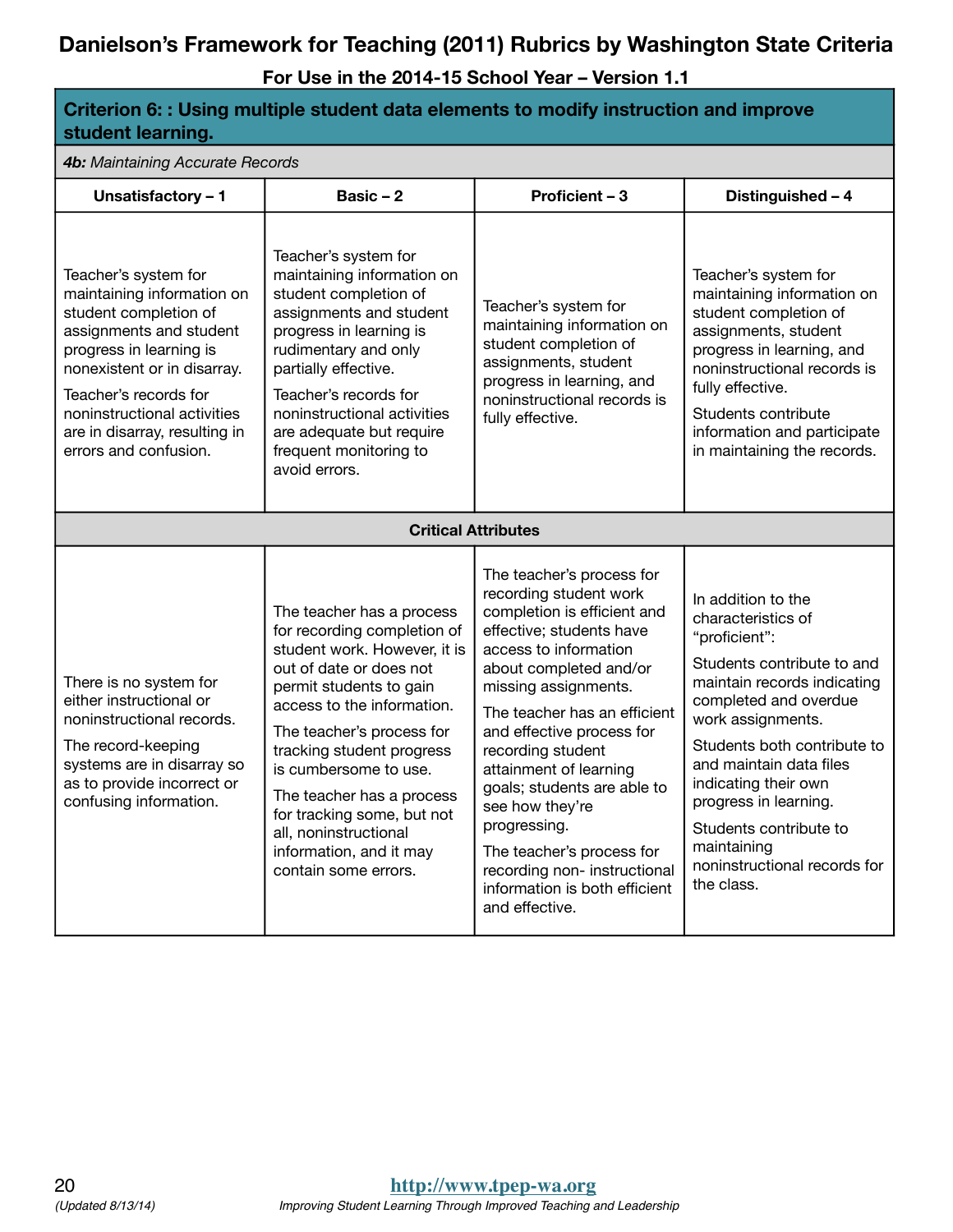**For Use in the 2014-15 School Year – Version 1.1**

#### **Criterion 6: : Using multiple student data elements to modify instruction and improve student learning.**

*4b: Maintaining Accurate Records*

| <b>TD:</b> Mail Rail iii iy Acculate Ticcolus                                                                                                                                                                                                                                      |                                                                                                                                                                                                                                                                                                                                                                                                        |                                                                                                                                                                                                                                                                                                                                                                                                                                                                                        |                                                                                                                                                                                                                                                                                                                                                                        |  |
|------------------------------------------------------------------------------------------------------------------------------------------------------------------------------------------------------------------------------------------------------------------------------------|--------------------------------------------------------------------------------------------------------------------------------------------------------------------------------------------------------------------------------------------------------------------------------------------------------------------------------------------------------------------------------------------------------|----------------------------------------------------------------------------------------------------------------------------------------------------------------------------------------------------------------------------------------------------------------------------------------------------------------------------------------------------------------------------------------------------------------------------------------------------------------------------------------|------------------------------------------------------------------------------------------------------------------------------------------------------------------------------------------------------------------------------------------------------------------------------------------------------------------------------------------------------------------------|--|
| Unsatisfactory - 1                                                                                                                                                                                                                                                                 | Basic $-2$                                                                                                                                                                                                                                                                                                                                                                                             | Proficient - 3                                                                                                                                                                                                                                                                                                                                                                                                                                                                         | Distinguished - 4                                                                                                                                                                                                                                                                                                                                                      |  |
| Teacher's system for<br>maintaining information on<br>student completion of<br>assignments and student<br>progress in learning is<br>nonexistent or in disarray.<br>Teacher's records for<br>noninstructional activities<br>are in disarray, resulting in<br>errors and confusion. | Teacher's system for<br>maintaining information on<br>student completion of<br>assignments and student<br>progress in learning is<br>rudimentary and only<br>partially effective.<br>Teacher's records for<br>noninstructional activities<br>are adequate but require<br>frequent monitoring to<br>avoid errors.                                                                                       | Teacher's system for<br>maintaining information on<br>student completion of<br>assignments, student<br>progress in learning, and<br>noninstructional records is<br>fully effective.                                                                                                                                                                                                                                                                                                    | Teacher's system for<br>maintaining information on<br>student completion of<br>assignments, student<br>progress in learning, and<br>noninstructional records is<br>fully effective.<br>Students contribute<br>information and participate<br>in maintaining the records.                                                                                               |  |
|                                                                                                                                                                                                                                                                                    |                                                                                                                                                                                                                                                                                                                                                                                                        | <b>Critical Attributes</b>                                                                                                                                                                                                                                                                                                                                                                                                                                                             |                                                                                                                                                                                                                                                                                                                                                                        |  |
| There is no system for<br>either instructional or<br>noninstructional records.<br>The record-keeping<br>systems are in disarray so<br>as to provide incorrect or<br>confusing information.                                                                                         | The teacher has a process<br>for recording completion of<br>student work. However, it is<br>out of date or does not<br>permit students to gain<br>access to the information.<br>The teacher's process for<br>tracking student progress<br>is cumbersome to use.<br>The teacher has a process<br>for tracking some, but not<br>all, noninstructional<br>information, and it may<br>contain some errors. | The teacher's process for<br>recording student work<br>completion is efficient and<br>effective; students have<br>access to information<br>about completed and/or<br>missing assignments.<br>The teacher has an efficient<br>and effective process for<br>recording student<br>attainment of learning<br>goals; students are able to<br>see how they're<br>progressing.<br>The teacher's process for<br>recording non-instructional<br>information is both efficient<br>and effective. | In addition to the<br>characteristics of<br>"proficient":<br>Students contribute to and<br>maintain records indicating<br>completed and overdue<br>work assignments.<br>Students both contribute to<br>and maintain data files<br>indicating their own<br>progress in learning.<br>Students contribute to<br>maintaining<br>noninstructional records for<br>the class. |  |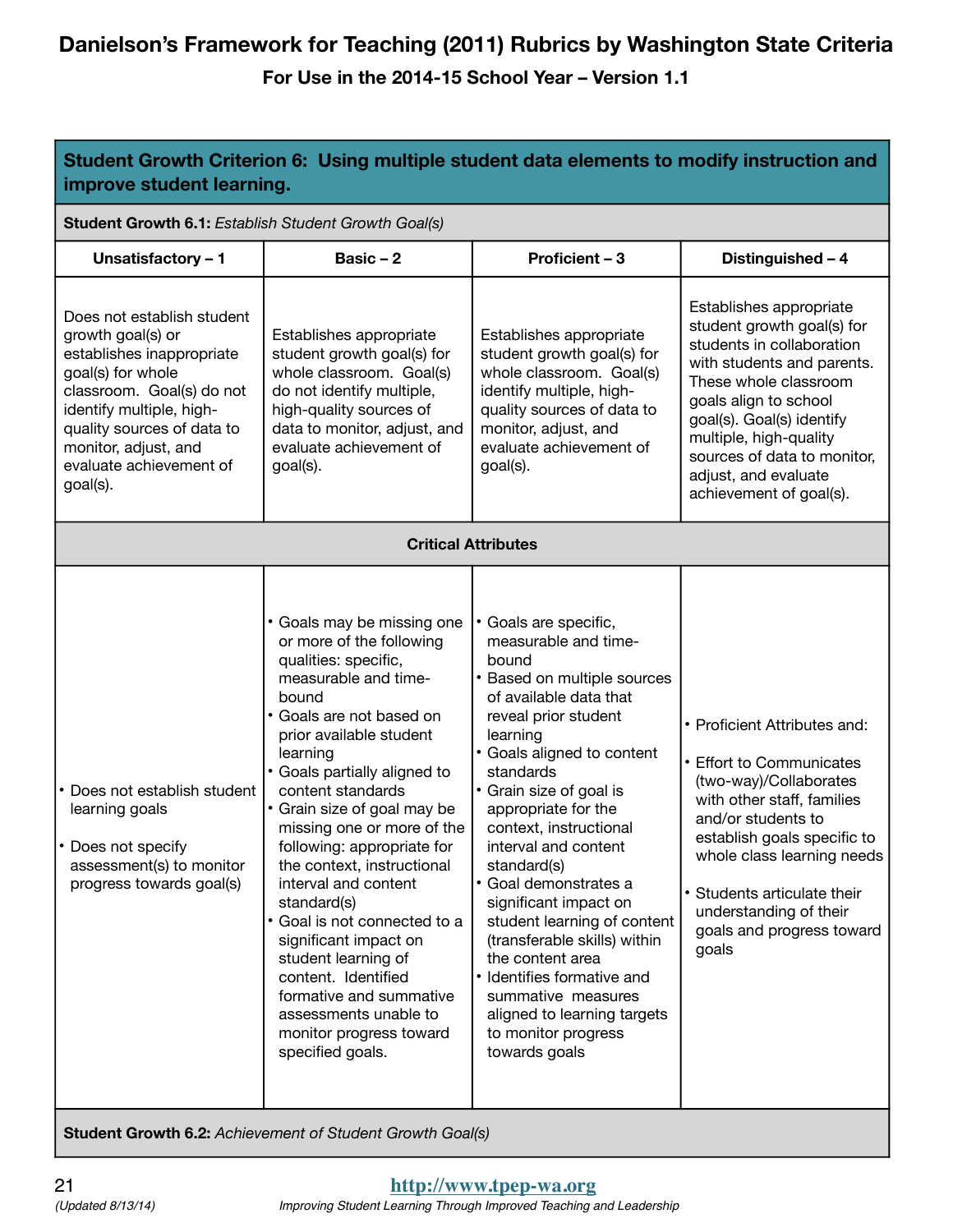**For Use in the 2014-15 School Year – Version 1.1**

| Student Growth Criterion 6: Using multiple student data elements to modify instruction and<br>improve student learning.                                                                                                                                 |                                                                                                                                                                                                                                                                                                                                                                                                                                                                                                                                                                                                                   |                                                                                                                                                                                                                                                                                                                                                                                                                                                                                                                                                                                 |                                                                                                                                                                                                                                                                                                             |
|---------------------------------------------------------------------------------------------------------------------------------------------------------------------------------------------------------------------------------------------------------|-------------------------------------------------------------------------------------------------------------------------------------------------------------------------------------------------------------------------------------------------------------------------------------------------------------------------------------------------------------------------------------------------------------------------------------------------------------------------------------------------------------------------------------------------------------------------------------------------------------------|---------------------------------------------------------------------------------------------------------------------------------------------------------------------------------------------------------------------------------------------------------------------------------------------------------------------------------------------------------------------------------------------------------------------------------------------------------------------------------------------------------------------------------------------------------------------------------|-------------------------------------------------------------------------------------------------------------------------------------------------------------------------------------------------------------------------------------------------------------------------------------------------------------|
| Student Growth 6.1: Establish Student Growth Goal(s)                                                                                                                                                                                                    |                                                                                                                                                                                                                                                                                                                                                                                                                                                                                                                                                                                                                   |                                                                                                                                                                                                                                                                                                                                                                                                                                                                                                                                                                                 |                                                                                                                                                                                                                                                                                                             |
| Unsatisfactory - 1                                                                                                                                                                                                                                      | Basic $-2$                                                                                                                                                                                                                                                                                                                                                                                                                                                                                                                                                                                                        | Proficient - 3                                                                                                                                                                                                                                                                                                                                                                                                                                                                                                                                                                  | Distinguished - 4                                                                                                                                                                                                                                                                                           |
| Does not establish student<br>growth goal(s) or<br>establishes inappropriate<br>goal(s) for whole<br>classroom. Goal(s) do not<br>identify multiple, high-<br>quality sources of data to<br>monitor, adjust, and<br>evaluate achievement of<br>goal(s). | Establishes appropriate<br>student growth goal(s) for<br>whole classroom. Goal(s)<br>do not identify multiple,<br>high-quality sources of<br>data to monitor, adjust, and<br>evaluate achievement of<br>goal(s).                                                                                                                                                                                                                                                                                                                                                                                                  | Establishes appropriate<br>student growth goal(s) for<br>whole classroom. Goal(s)<br>identify multiple, high-<br>quality sources of data to<br>monitor, adjust, and<br>evaluate achievement of<br>goal(s).                                                                                                                                                                                                                                                                                                                                                                      | Establishes appropriate<br>student growth goal(s) for<br>students in collaboration<br>with students and parents.<br>These whole classroom<br>goals align to school<br>goal(s). Goal(s) identify<br>multiple, high-quality<br>sources of data to monitor,<br>adjust, and evaluate<br>achievement of goal(s). |
|                                                                                                                                                                                                                                                         | <b>Critical Attributes</b>                                                                                                                                                                                                                                                                                                                                                                                                                                                                                                                                                                                        |                                                                                                                                                                                                                                                                                                                                                                                                                                                                                                                                                                                 |                                                                                                                                                                                                                                                                                                             |
| Does not establish student<br>learning goals<br>Does not specify<br>assessment(s) to monitor<br>progress towards goal(s)                                                                                                                                | • Goals may be missing one<br>or more of the following<br>qualities: specific,<br>measurable and time-<br>bound<br>• Goals are not based on<br>prior available student<br>learning<br>• Goals partially aligned to<br>content standards<br>• Grain size of goal may be<br>missing one or more of the<br>following: appropriate for<br>the context, instructional<br>interval and content<br>standard(s)<br>· Goal is not connected to a<br>significant impact on<br>student learning of<br>content. Identified<br>formative and summative<br>assessments unable to<br>monitor progress toward<br>specified goals. | · Goals are specific,<br>measurable and time-<br>bound<br>Based on multiple sources<br>of available data that<br>reveal prior student<br>learning<br>• Goals aligned to content<br>standards<br>• Grain size of goal is<br>appropriate for the<br>context, instructional<br>interval and content<br>standard(s)<br>· Goal demonstrates a<br>significant impact on<br>student learning of content<br>(transferable skills) within<br>the content area<br>• Identifies formative and<br>summative measures<br>aligned to learning targets<br>to monitor progress<br>towards goals | • Proficient Attributes and:<br>• Effort to Communicates<br>(two-way)/Collaborates<br>with other staff, families<br>and/or students to<br>establish goals specific to<br>whole class learning needs<br>• Students articulate their<br>understanding of their<br>goals and progress toward<br>goals          |

**Student Growth 6.2:** *Achievement of Student Growth Goal(s)*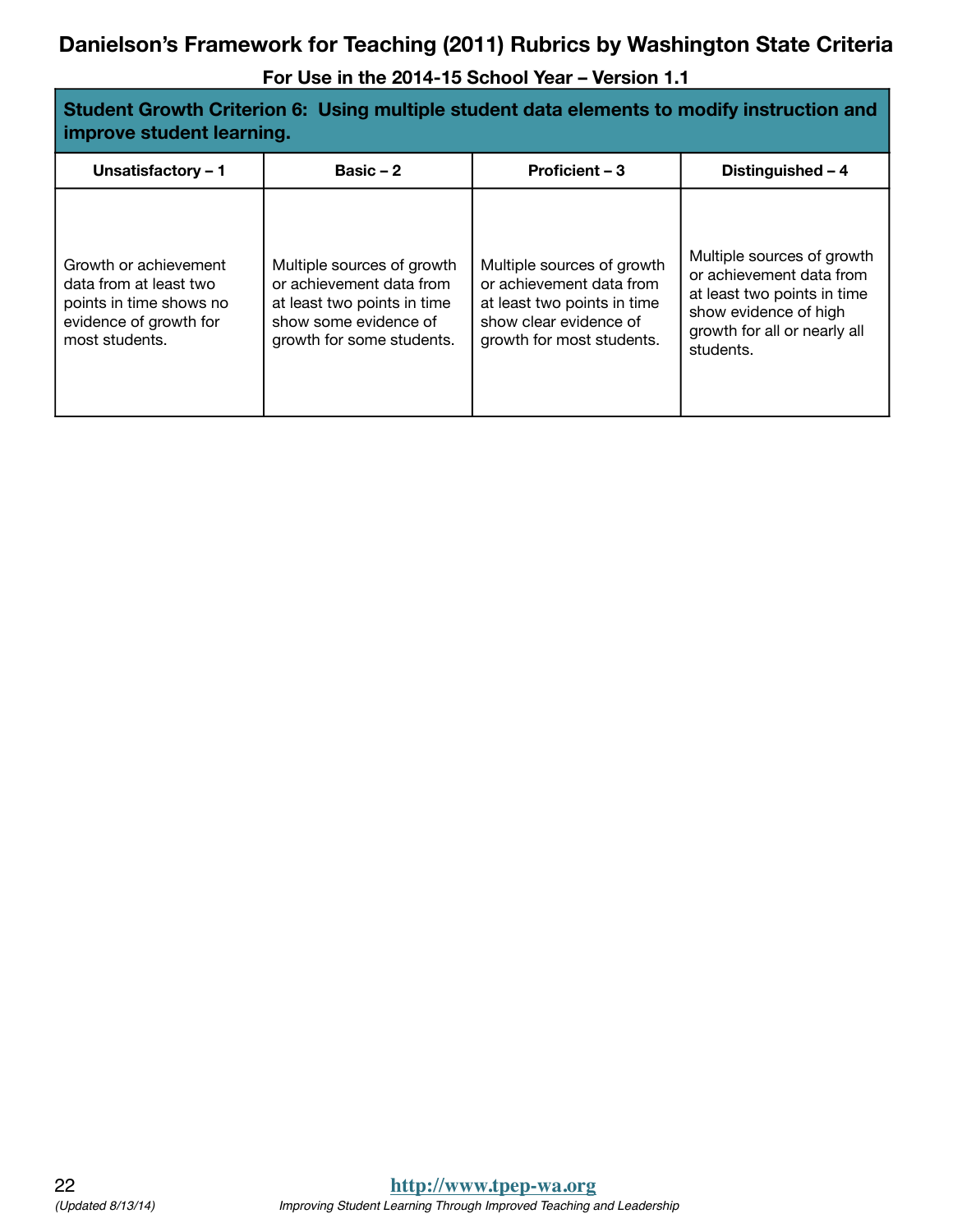| Student Growth Criterion 6: Using multiple student data elements to modify instruction and<br>improve student learning. |                                                                                                                                             |                                                                                                                                              |                                                                                                                                                             |  |
|-------------------------------------------------------------------------------------------------------------------------|---------------------------------------------------------------------------------------------------------------------------------------------|----------------------------------------------------------------------------------------------------------------------------------------------|-------------------------------------------------------------------------------------------------------------------------------------------------------------|--|
| Unsatisfactory - 1                                                                                                      | Basic $-2$                                                                                                                                  | Proficient - 3                                                                                                                               | Distinguished - 4                                                                                                                                           |  |
| Growth or achievement<br>data from at least two<br>points in time shows no<br>evidence of growth for<br>most students.  | Multiple sources of growth<br>or achievement data from<br>at least two points in time<br>show some evidence of<br>growth for some students. | Multiple sources of growth<br>or achievement data from<br>at least two points in time<br>show clear evidence of<br>growth for most students. | Multiple sources of growth<br>or achievement data from<br>at least two points in time<br>show evidence of high<br>growth for all or nearly all<br>students. |  |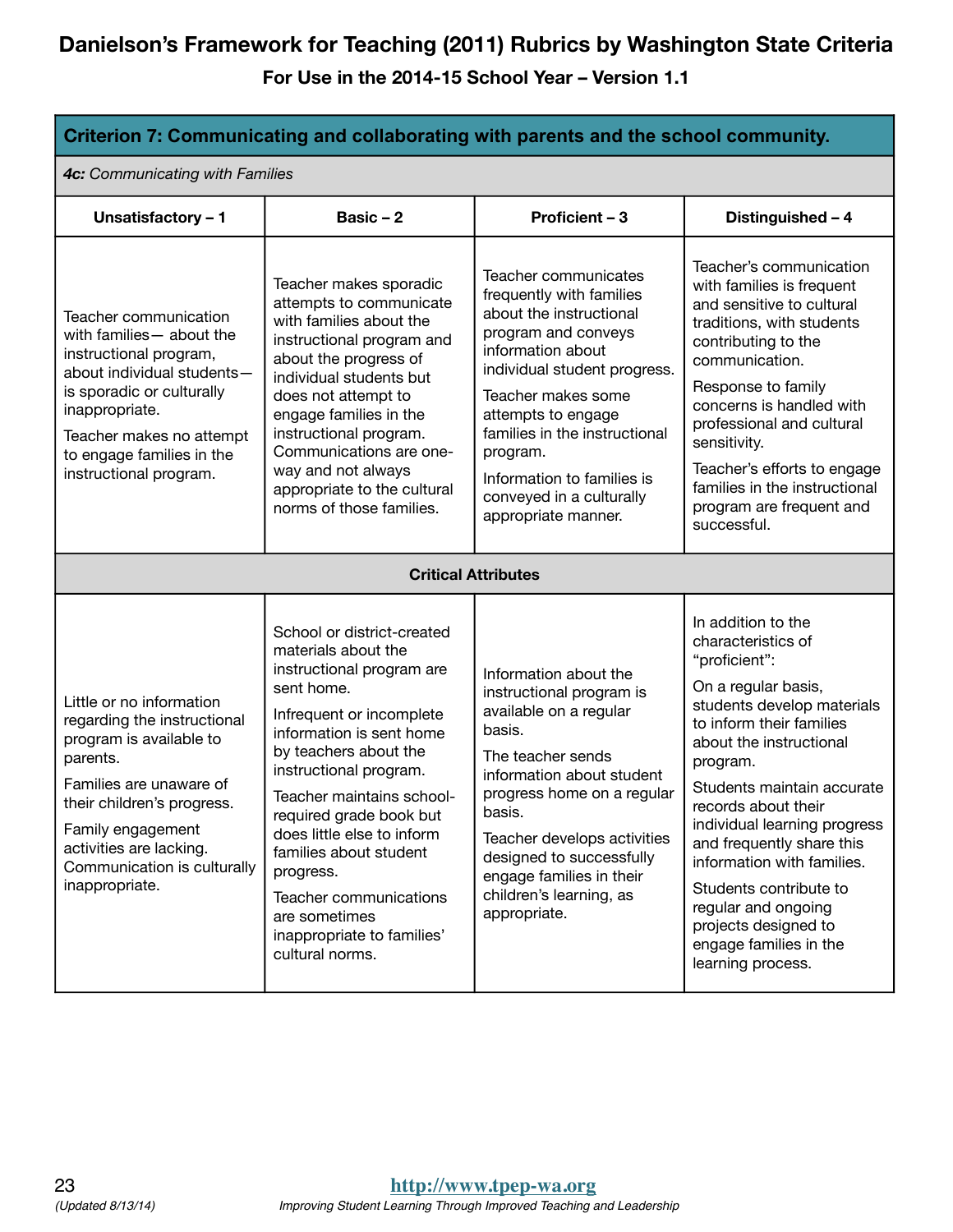| Criterion 7: Communicating and collaborating with parents and the school community.                                                                                                                                                                      |                                                                                                                                                                                                                                                                                                                                                                                                                                  |                                                                                                                                                                                                                                                                                                                                   |                                                                                                                                                                                                                                                                                                                                                                                                                                                           |  |
|----------------------------------------------------------------------------------------------------------------------------------------------------------------------------------------------------------------------------------------------------------|----------------------------------------------------------------------------------------------------------------------------------------------------------------------------------------------------------------------------------------------------------------------------------------------------------------------------------------------------------------------------------------------------------------------------------|-----------------------------------------------------------------------------------------------------------------------------------------------------------------------------------------------------------------------------------------------------------------------------------------------------------------------------------|-----------------------------------------------------------------------------------------------------------------------------------------------------------------------------------------------------------------------------------------------------------------------------------------------------------------------------------------------------------------------------------------------------------------------------------------------------------|--|
| 4c: Communicating with Families                                                                                                                                                                                                                          |                                                                                                                                                                                                                                                                                                                                                                                                                                  |                                                                                                                                                                                                                                                                                                                                   |                                                                                                                                                                                                                                                                                                                                                                                                                                                           |  |
| Unsatisfactory - 1                                                                                                                                                                                                                                       | Basic $-2$                                                                                                                                                                                                                                                                                                                                                                                                                       | Proficient - 3                                                                                                                                                                                                                                                                                                                    | Distinguished - 4                                                                                                                                                                                                                                                                                                                                                                                                                                         |  |
| Teacher communication<br>with families - about the<br>instructional program,<br>about individual students-<br>is sporadic or culturally<br>inappropriate.<br>Teacher makes no attempt<br>to engage families in the<br>instructional program.             | Teacher makes sporadic<br>attempts to communicate<br>with families about the<br>instructional program and<br>about the progress of<br>individual students but<br>does not attempt to<br>engage families in the<br>instructional program.<br>Communications are one-<br>way and not always<br>appropriate to the cultural<br>norms of those families.                                                                             | Teacher communicates<br>frequently with families<br>about the instructional<br>program and conveys<br>information about<br>individual student progress.<br>Teacher makes some<br>attempts to engage<br>families in the instructional<br>program.<br>Information to families is<br>conveyed in a culturally<br>appropriate manner. | Teacher's communication<br>with families is frequent<br>and sensitive to cultural<br>traditions, with students<br>contributing to the<br>communication.<br>Response to family<br>concerns is handled with<br>professional and cultural<br>sensitivity.<br>Teacher's efforts to engage<br>families in the instructional<br>program are frequent and<br>successful.                                                                                         |  |
|                                                                                                                                                                                                                                                          | <b>Critical Attributes</b>                                                                                                                                                                                                                                                                                                                                                                                                       |                                                                                                                                                                                                                                                                                                                                   |                                                                                                                                                                                                                                                                                                                                                                                                                                                           |  |
| Little or no information<br>regarding the instructional<br>program is available to<br>parents.<br>Families are unaware of<br>their children's progress.<br>Family engagement<br>activities are lacking.<br>Communication is culturally<br>inappropriate. | School or district-created<br>materials about the<br>instructional program are<br>sent home.<br>Infrequent or incomplete<br>information is sent home<br>by teachers about the<br>instructional program.<br>Teacher maintains school-<br>required grade book but<br>does little else to inform<br>families about student<br>progress.<br>Teacher communications<br>are sometimes<br>inappropriate to families'<br>cultural norms. | Information about the<br>instructional program is<br>available on a regular<br>basis.<br>The teacher sends<br>information about student<br>progress home on a regular<br>basis.<br>Teacher develops activities<br>designed to successfully<br>engage families in their<br>children's learning, as<br>appropriate.                 | In addition to the<br>characteristics of<br>"proficient":<br>On a regular basis,<br>students develop materials<br>to inform their families<br>about the instructional<br>program.<br>Students maintain accurate<br>records about their<br>individual learning progress<br>and frequently share this<br>information with families.<br>Students contribute to<br>regular and ongoing<br>projects designed to<br>engage families in the<br>learning process. |  |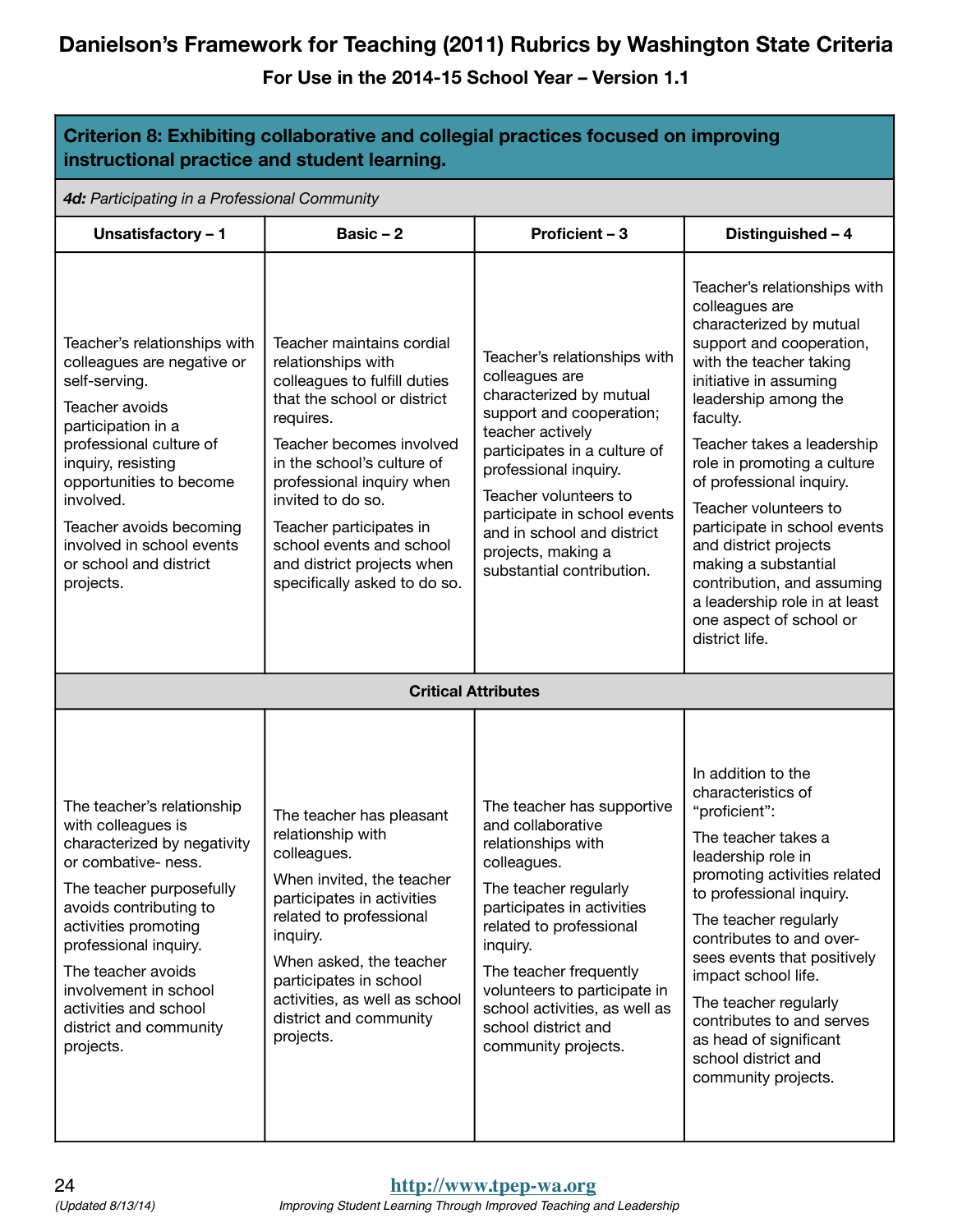| Criterion 8: Exhibiting collaborative and collegial practices focused on improving<br>instructional practice and student learning.                                                                                                                                                                                           |                                                                                                                                                                                                                                                                                                                                                              |                                                                                                                                                                                                                                                                                                                              |                                                                                                                                                                                                                                                                                                                                                                                                                                                                                                               |  |  |  |
|------------------------------------------------------------------------------------------------------------------------------------------------------------------------------------------------------------------------------------------------------------------------------------------------------------------------------|--------------------------------------------------------------------------------------------------------------------------------------------------------------------------------------------------------------------------------------------------------------------------------------------------------------------------------------------------------------|------------------------------------------------------------------------------------------------------------------------------------------------------------------------------------------------------------------------------------------------------------------------------------------------------------------------------|---------------------------------------------------------------------------------------------------------------------------------------------------------------------------------------------------------------------------------------------------------------------------------------------------------------------------------------------------------------------------------------------------------------------------------------------------------------------------------------------------------------|--|--|--|
| 4d: Participating in a Professional Community                                                                                                                                                                                                                                                                                |                                                                                                                                                                                                                                                                                                                                                              |                                                                                                                                                                                                                                                                                                                              |                                                                                                                                                                                                                                                                                                                                                                                                                                                                                                               |  |  |  |
| Unsatisfactory - 1                                                                                                                                                                                                                                                                                                           | Basic $-2$                                                                                                                                                                                                                                                                                                                                                   | Proficient - 3                                                                                                                                                                                                                                                                                                               | Distinguished - 4                                                                                                                                                                                                                                                                                                                                                                                                                                                                                             |  |  |  |
| Teacher's relationships with<br>colleagues are negative or<br>self-serving.<br>Teacher avoids<br>participation in a<br>professional culture of<br>inquiry, resisting<br>opportunities to become<br>involved.<br>Teacher avoids becoming<br>involved in school events<br>or school and district<br>projects.                  | Teacher maintains cordial<br>relationships with<br>colleagues to fulfill duties<br>that the school or district<br>requires.<br>Teacher becomes involved<br>in the school's culture of<br>professional inquiry when<br>invited to do so.<br>Teacher participates in<br>school events and school<br>and district projects when<br>specifically asked to do so. | Teacher's relationships with<br>colleagues are<br>characterized by mutual<br>support and cooperation;<br>teacher actively<br>participates in a culture of<br>professional inquiry.<br>Teacher volunteers to<br>participate in school events<br>and in school and district<br>projects, making a<br>substantial contribution. | Teacher's relationships with<br>colleagues are<br>characterized by mutual<br>support and cooperation,<br>with the teacher taking<br>initiative in assuming<br>leadership among the<br>faculty.<br>Teacher takes a leadership<br>role in promoting a culture<br>of professional inquiry.<br>Teacher volunteers to<br>participate in school events<br>and district projects<br>making a substantial<br>contribution, and assuming<br>a leadership role in at least<br>one aspect of school or<br>district life. |  |  |  |
| <b>Critical Attributes</b>                                                                                                                                                                                                                                                                                                   |                                                                                                                                                                                                                                                                                                                                                              |                                                                                                                                                                                                                                                                                                                              |                                                                                                                                                                                                                                                                                                                                                                                                                                                                                                               |  |  |  |
| The teacher's relationship<br>with colleagues is<br>characterized by negativity<br>or combative- ness.<br>The teacher purposefully<br>avoids contributing to<br>activities promoting<br>professional inquiry.<br>The teacher avoids<br>involvement in school<br>activities and school<br>district and community<br>projects. | The teacher has pleasant<br>relationship with<br>colleagues.<br>When invited, the teacher<br>participates in activities<br>related to professional<br>inquiry.<br>When asked, the teacher<br>participates in school<br>activities, as well as school<br>district and community<br>projects.                                                                  | The teacher has supportive<br>and collaborative<br>relationships with<br>colleagues.<br>The teacher regularly<br>participates in activities<br>related to professional<br>inquiry.<br>The teacher frequently<br>volunteers to participate in<br>school activities, as well as<br>school district and<br>community projects.  | In addition to the<br>characteristics of<br>"proficient":<br>The teacher takes a<br>leadership role in<br>promoting activities related<br>to professional inquiry.<br>The teacher regularly<br>contributes to and over-<br>sees events that positively<br>impact school life.<br>The teacher regularly<br>contributes to and serves<br>as head of significant<br>school district and<br>community projects.                                                                                                   |  |  |  |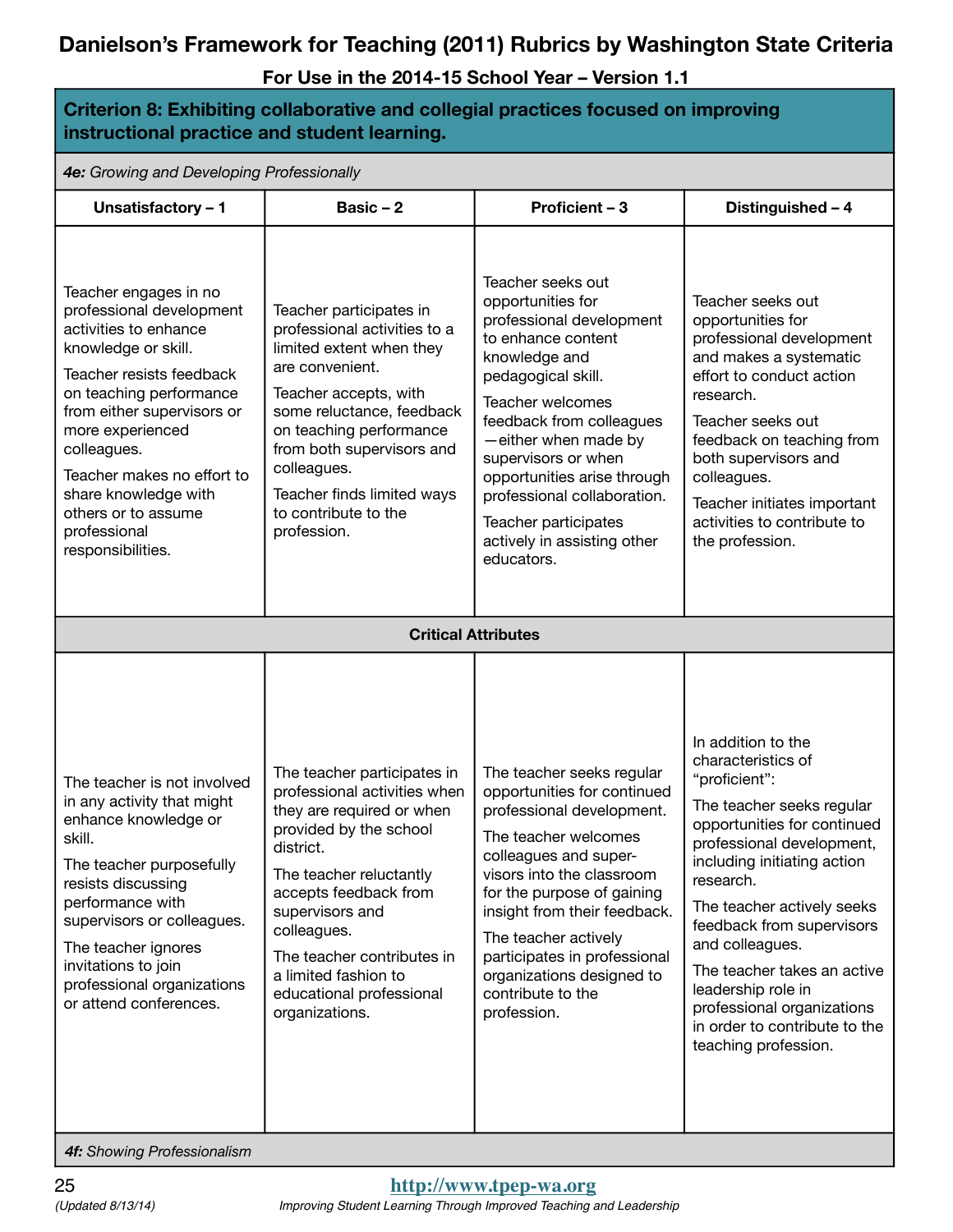**For Use in the 2014-15 School Year – Version 1.1**

| Criterion 8: Exhibiting collaborative and collegial practices focused on improving<br>instructional practice and student learning.                                                                                                                                                                                                          |                                                                                                                                                                                                                                                                                                                           |                                                                                                                                                                                                                                                                                                                                                                   |                                                                                                                                                                                                                                                                                                                                                                                                                          |  |  |  |
|---------------------------------------------------------------------------------------------------------------------------------------------------------------------------------------------------------------------------------------------------------------------------------------------------------------------------------------------|---------------------------------------------------------------------------------------------------------------------------------------------------------------------------------------------------------------------------------------------------------------------------------------------------------------------------|-------------------------------------------------------------------------------------------------------------------------------------------------------------------------------------------------------------------------------------------------------------------------------------------------------------------------------------------------------------------|--------------------------------------------------------------------------------------------------------------------------------------------------------------------------------------------------------------------------------------------------------------------------------------------------------------------------------------------------------------------------------------------------------------------------|--|--|--|
| 4e: Growing and Developing Professionally                                                                                                                                                                                                                                                                                                   |                                                                                                                                                                                                                                                                                                                           |                                                                                                                                                                                                                                                                                                                                                                   |                                                                                                                                                                                                                                                                                                                                                                                                                          |  |  |  |
| Unsatisfactory - 1                                                                                                                                                                                                                                                                                                                          | Basic $-2$                                                                                                                                                                                                                                                                                                                | <b>Proficient - 3</b>                                                                                                                                                                                                                                                                                                                                             | Distinguished - 4                                                                                                                                                                                                                                                                                                                                                                                                        |  |  |  |
| Teacher engages in no<br>professional development<br>activities to enhance<br>knowledge or skill.<br>Teacher resists feedback<br>on teaching performance<br>from either supervisors or<br>more experienced<br>colleagues.<br>Teacher makes no effort to<br>share knowledge with<br>others or to assume<br>professional<br>responsibilities. | Teacher participates in<br>professional activities to a<br>limited extent when they<br>are convenient.<br>Teacher accepts, with<br>some reluctance, feedback<br>on teaching performance<br>from both supervisors and<br>colleagues.<br>Teacher finds limited ways<br>to contribute to the<br>profession.                  | Teacher seeks out<br>opportunities for<br>professional development<br>to enhance content<br>knowledge and<br>pedagogical skill.<br>Teacher welcomes<br>feedback from colleagues<br>-either when made by<br>supervisors or when<br>opportunities arise through<br>professional collaboration.<br>Teacher participates<br>actively in assisting other<br>educators. | Teacher seeks out<br>opportunities for<br>professional development<br>and makes a systematic<br>effort to conduct action<br>research.<br>Teacher seeks out<br>feedback on teaching from<br>both supervisors and<br>colleagues.<br>Teacher initiates important<br>activities to contribute to<br>the profession.                                                                                                          |  |  |  |
|                                                                                                                                                                                                                                                                                                                                             | <b>Critical Attributes</b>                                                                                                                                                                                                                                                                                                |                                                                                                                                                                                                                                                                                                                                                                   |                                                                                                                                                                                                                                                                                                                                                                                                                          |  |  |  |
| The teacher is not involved<br>in any activity that might<br>enhance knowledge or<br>skill.<br>The teacher purposefully<br>resists discussing<br>performance with<br>supervisors or colleagues.<br>The teacher ignores<br>invitations to join<br>professional organizations<br>or attend conferences.                                       | The teacher participates in<br>professional activities when<br>they are required or when<br>provided by the school<br>district.<br>The teacher reluctantly<br>accepts feedback from<br>supervisors and<br>colleagues.<br>The teacher contributes in<br>a limited fashion to<br>educational professional<br>organizations. | The teacher seeks regular<br>opportunities for continued<br>professional development.<br>The teacher welcomes<br>colleagues and super-<br>visors into the classroom<br>for the purpose of gaining<br>insight from their feedback.<br>The teacher actively<br>participates in professional<br>organizations designed to<br>contribute to the<br>profession.        | In addition to the<br>characteristics of<br>"proficient":<br>The teacher seeks regular<br>opportunities for continued<br>professional development,<br>including initiating action<br>research.<br>The teacher actively seeks<br>feedback from supervisors<br>and colleagues.<br>The teacher takes an active<br>leadership role in<br>professional organizations<br>in order to contribute to the<br>teaching profession. |  |  |  |

*4f: Showing Professionalism*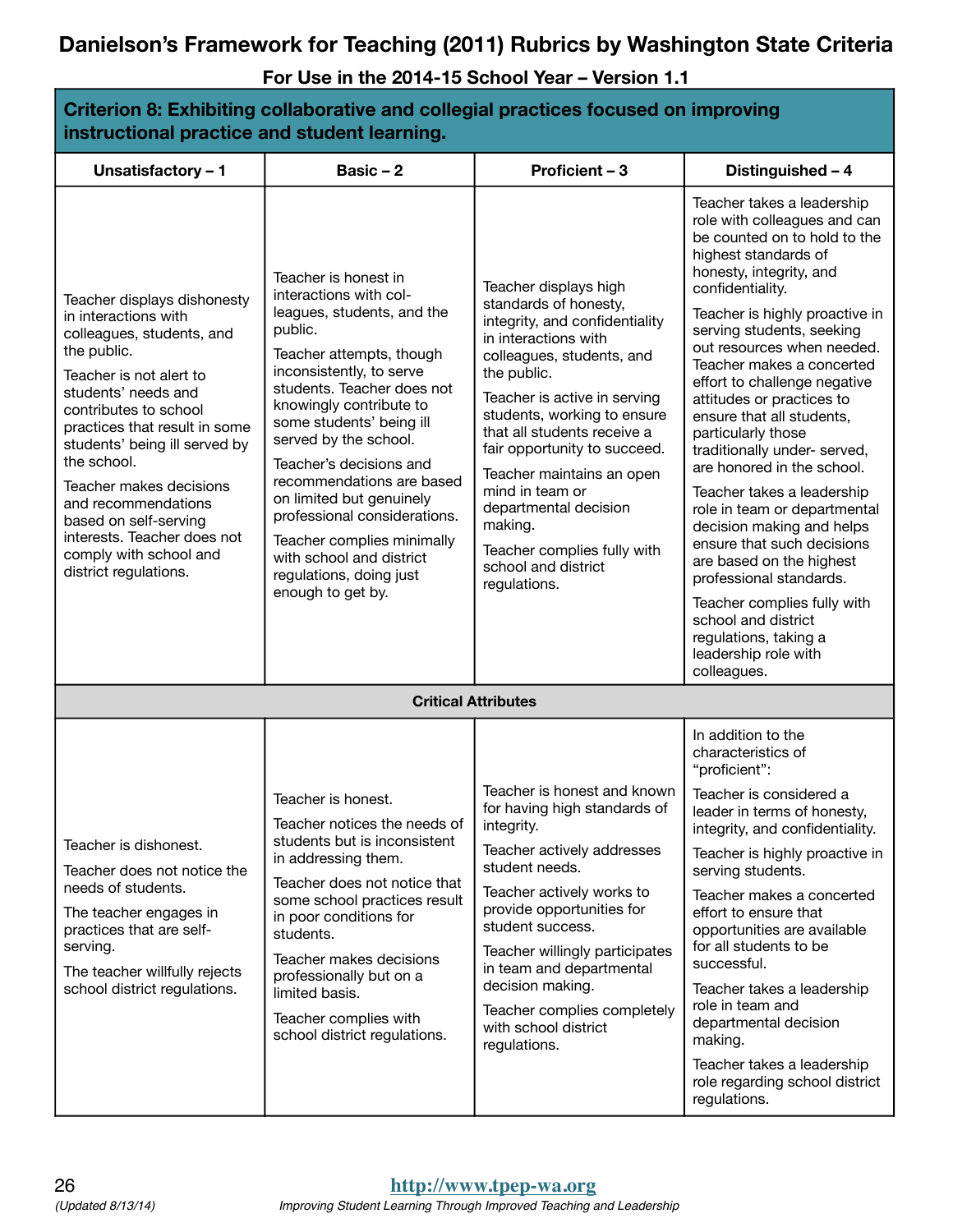| Criterion 8: Exhibiting collaborative and collegial practices focused on improving<br>instructional practice and student learning.                                                                                                                                                                                                                                                                                       |                                                                                                                                                                                                                                                                                                                                                                                                                                                                                             |                                                                                                                                                                                                                                                                                                                                                                                                                                              |                                                                                                                                                                                                                                       |  |  |
|--------------------------------------------------------------------------------------------------------------------------------------------------------------------------------------------------------------------------------------------------------------------------------------------------------------------------------------------------------------------------------------------------------------------------|---------------------------------------------------------------------------------------------------------------------------------------------------------------------------------------------------------------------------------------------------------------------------------------------------------------------------------------------------------------------------------------------------------------------------------------------------------------------------------------------|----------------------------------------------------------------------------------------------------------------------------------------------------------------------------------------------------------------------------------------------------------------------------------------------------------------------------------------------------------------------------------------------------------------------------------------------|---------------------------------------------------------------------------------------------------------------------------------------------------------------------------------------------------------------------------------------|--|--|
| Unsatisfactory - 1                                                                                                                                                                                                                                                                                                                                                                                                       | Basic $-2$                                                                                                                                                                                                                                                                                                                                                                                                                                                                                  | Proficient - 3                                                                                                                                                                                                                                                                                                                                                                                                                               | Distinguished - 4                                                                                                                                                                                                                     |  |  |
| Teacher displays dishonesty<br>in interactions with<br>colleagues, students, and<br>the public.<br>Teacher is not alert to<br>students' needs and<br>contributes to school<br>practices that result in some<br>students' being ill served by<br>the school.<br>Teacher makes decisions<br>and recommendations<br>based on self-serving<br>interests. Teacher does not<br>comply with school and<br>district regulations. | Teacher is honest in<br>interactions with col-<br>leagues, students, and the<br>public.<br>Teacher attempts, though<br>inconsistently, to serve<br>students. Teacher does not<br>knowingly contribute to<br>some students' being ill<br>served by the school.<br>Teacher's decisions and<br>recommendations are based<br>on limited but genuinely<br>professional considerations.<br>Teacher complies minimally<br>with school and district<br>regulations, doing just<br>enough to get by. | Teacher displays high<br>standards of honesty,<br>integrity, and confidentiality<br>in interactions with<br>colleagues, students, and<br>the public.<br>Teacher is active in serving<br>students, working to ensure<br>that all students receive a<br>fair opportunity to succeed.<br>Teacher maintains an open<br>mind in team or<br>departmental decision<br>making.<br>Teacher complies fully with<br>school and district<br>regulations. | Teacher takes a leadership<br>role with colleagues and can<br>be counted on to hold to the<br>highest standards of<br>honesty, integrity, and<br>confidentiality.<br>Teacher is highly proactive in<br>serving students, seeking      |  |  |
|                                                                                                                                                                                                                                                                                                                                                                                                                          |                                                                                                                                                                                                                                                                                                                                                                                                                                                                                             |                                                                                                                                                                                                                                                                                                                                                                                                                                              | out resources when needed.<br>Teacher makes a concerted<br>effort to challenge negative<br>attitudes or practices to<br>ensure that all students.<br>particularly those<br>traditionally under- served,<br>are honored in the school. |  |  |
|                                                                                                                                                                                                                                                                                                                                                                                                                          |                                                                                                                                                                                                                                                                                                                                                                                                                                                                                             |                                                                                                                                                                                                                                                                                                                                                                                                                                              | Teacher takes a leadership<br>role in team or departmental<br>decision making and helps<br>ensure that such decisions<br>are based on the highest<br>professional standards.                                                          |  |  |
|                                                                                                                                                                                                                                                                                                                                                                                                                          |                                                                                                                                                                                                                                                                                                                                                                                                                                                                                             |                                                                                                                                                                                                                                                                                                                                                                                                                                              | Teacher complies fully with<br>school and district<br>regulations, taking a<br>leadership role with<br>colleagues.                                                                                                                    |  |  |
|                                                                                                                                                                                                                                                                                                                                                                                                                          |                                                                                                                                                                                                                                                                                                                                                                                                                                                                                             | <b>Critical Attributes</b>                                                                                                                                                                                                                                                                                                                                                                                                                   |                                                                                                                                                                                                                                       |  |  |
|                                                                                                                                                                                                                                                                                                                                                                                                                          |                                                                                                                                                                                                                                                                                                                                                                                                                                                                                             |                                                                                                                                                                                                                                                                                                                                                                                                                                              | In addition to the<br>characteristics of<br>"proficient":                                                                                                                                                                             |  |  |
| Teacher is dishonest.<br>Teacher does not notice the<br>needs of students.<br>The teacher engages in<br>practices that are self-<br>serving.<br>The teacher willfully rejects<br>school district regulations.                                                                                                                                                                                                            | Teacher is honest.<br>Teacher notices the needs of<br>students but is inconsistent<br>in addressing them.<br>Teacher does not notice that<br>some school practices result<br>in poor conditions for<br>students.<br>Teacher makes decisions<br>professionally but on a<br>limited basis.<br>Teacher complies with<br>school district regulations.                                                                                                                                           | Teacher is honest and known  <br>for having high standards of<br>integrity.                                                                                                                                                                                                                                                                                                                                                                  | Teacher is considered a<br>leader in terms of honesty,<br>integrity, and confidentiality.                                                                                                                                             |  |  |
|                                                                                                                                                                                                                                                                                                                                                                                                                          |                                                                                                                                                                                                                                                                                                                                                                                                                                                                                             | Teacher actively addresses<br>student needs.                                                                                                                                                                                                                                                                                                                                                                                                 | Teacher is highly proactive in<br>serving students.                                                                                                                                                                                   |  |  |
|                                                                                                                                                                                                                                                                                                                                                                                                                          |                                                                                                                                                                                                                                                                                                                                                                                                                                                                                             | Teacher actively works to<br>provide opportunities for<br>student success.<br>Teacher willingly participates<br>in team and departmental<br>decision making.<br>Teacher complies completely<br>with school district<br>regulations.                                                                                                                                                                                                          | Teacher makes a concerted<br>effort to ensure that<br>opportunities are available<br>for all students to be<br>successful.                                                                                                            |  |  |
|                                                                                                                                                                                                                                                                                                                                                                                                                          |                                                                                                                                                                                                                                                                                                                                                                                                                                                                                             |                                                                                                                                                                                                                                                                                                                                                                                                                                              | Teacher takes a leadership<br>role in team and<br>departmental decision<br>making.                                                                                                                                                    |  |  |
|                                                                                                                                                                                                                                                                                                                                                                                                                          |                                                                                                                                                                                                                                                                                                                                                                                                                                                                                             |                                                                                                                                                                                                                                                                                                                                                                                                                                              | Teacher takes a leadership<br>role regarding school district<br>regulations.                                                                                                                                                          |  |  |